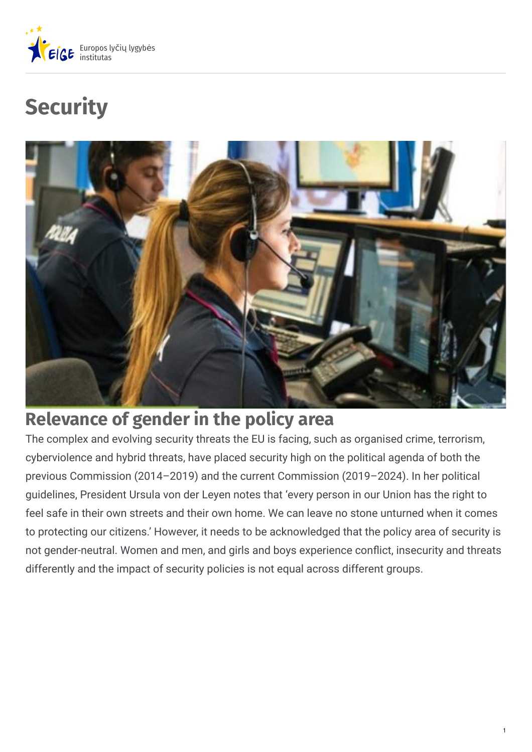

# **Security**



# **Relevance of gender in the policy area**

The complex and evolving security threats the EU is facing, such as organised crime, terrorism, cyberviolence and hybrid threats, have placed security high on the political agenda of both the previous Commission (2014–2019) and the current Commission (2019–2024). In her political guidelines, President Ursula von der Leyen notes that 'every person in our Union has the right to feel safe in their own streets and their own home. We can leave no stone unturned when it comes to protecting our citizens.' However, it needs to be acknowledged that the policy area of security is not gender-neutral. Women and men, and girls and boys experience conflict, insecurity and threats differently and the impact of security policies is not equal across different groups.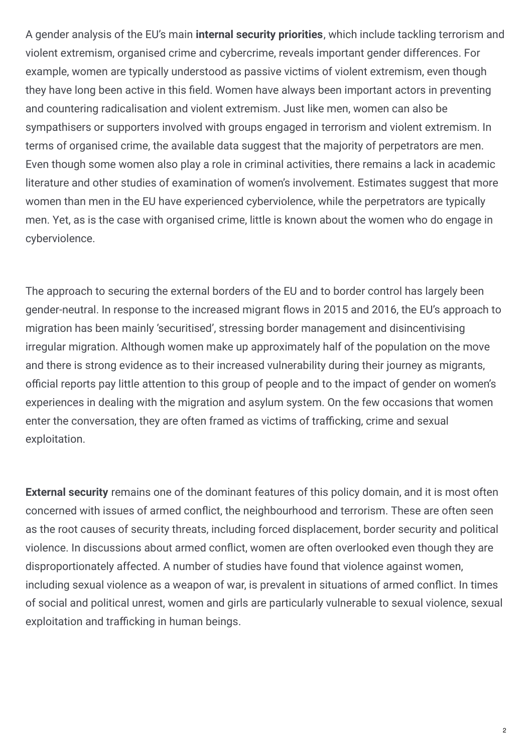A gender analysis of the EU's main **internal security priorities**, which include tackling terrorism and violent extremism, organised crime and cybercrime, reveals important gender differences. For example, women are typically understood as passive victims of violent extremism, even though they have long been active in this field. Women have always been important actors in preventing and countering radicalisation and violent extremism. Just like men, women can also be sympathisers or supporters involved with groups engaged in terrorism and violent extremism. In terms of organised crime, the available data suggest that the majority of perpetrators are men. Even though some women also play a role in criminal activities, there remains a lack in academic literature and other studies of examination of women's involvement. Estimates suggest that more women than men in the EU have experienced cyberviolence, while the perpetrators are typically men. Yet, as is the case with organised crime, little is known about the women who do engage in cyberviolence.

The approach to securing the external borders of the EU and to border control has largely been gender-neutral. In response to the increased migrant flows in 2015 and 2016, the EU's approach to migration has been mainly 'securitised', stressing border management and disincentivising irregular migration. Although women make up approximately half of the population on the move and there is strong evidence as to their increased vulnerability during their journey as migrants, official reports pay little attention to this group of people and to the impact of gender on women's experiences in dealing with the migration and asylum system. On the few occasions that women enter the conversation, they are often framed as victims of trafficking, crime and sexual exploitation.

**External security** remains one of the dominant features of this policy domain, and it is most often concerned with issues of armed conflict, the neighbourhood and terrorism. These are often seen as the root causes of security threats, including forced displacement, border security and political violence. In discussions about armed conflict, women are often overlooked even though they are disproportionately affected. A number of studies have found that violence against women, including sexual violence as a weapon of war, is prevalent in situations of armed conflict. In times of social and political unrest, women and girls are particularly vulnerable to sexual violence, sexual exploitation and trafficking in human beings.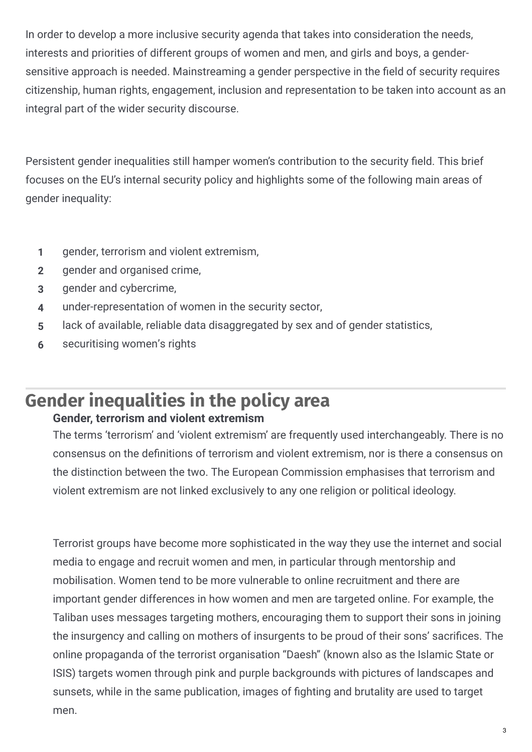In order to develop a more inclusive security agenda that takes into consideration the needs, interests and priorities of different groups of women and men, and girls and boys, a gendersensitive approach is needed. Mainstreaming a gender perspective in the field of security requires citizenship, human rights, engagement, inclusion and representation to be taken into account as an integral part of the wider security discourse.

Persistent gender inequalities still hamper women's contribution to the security field. This brief focuses on the EU's internal security policy and highlights some of the following main areas of gender inequality:

- **1** gender, terrorism and violent extremism,
- **2** gender and organised crime,
- **3** gender and cybercrime,
- **4** under-representation of women in the security sector,
- **5** lack of available, reliable data disaggregated by sex and of gender statistics,
- **6** securitising women's rights

#### **Gender inequalities in the policy area Gender, terrorism and violent extremism**

The terms 'terrorism' and 'violent extremism' are frequently used interchangeably. There is no consensus on the definitions of terrorism and violent extremism, nor is there a consensus on the distinction between the two. The European Commission emphasises that terrorism and violent extremism are not linked exclusively to any one religion or political ideology.

Terrorist groups have become more sophisticated in the way they use the internet and social media to engage and recruit women and men, in particular through mentorship and mobilisation. Women tend to be more vulnerable to online recruitment and there are important gender differences in how women and men are targeted online. For example, the Taliban uses messages targeting mothers, encouraging them to support their sons in joining the insurgency and calling on mothers of insurgents to be proud of their sons' sacrifices. The online propaganda of the terrorist organisation "Daesh" (known also as the Islamic State or ISIS) targets women through pink and purple backgrounds with pictures of landscapes and sunsets, while in the same publication, images of fighting and brutality are used to target men.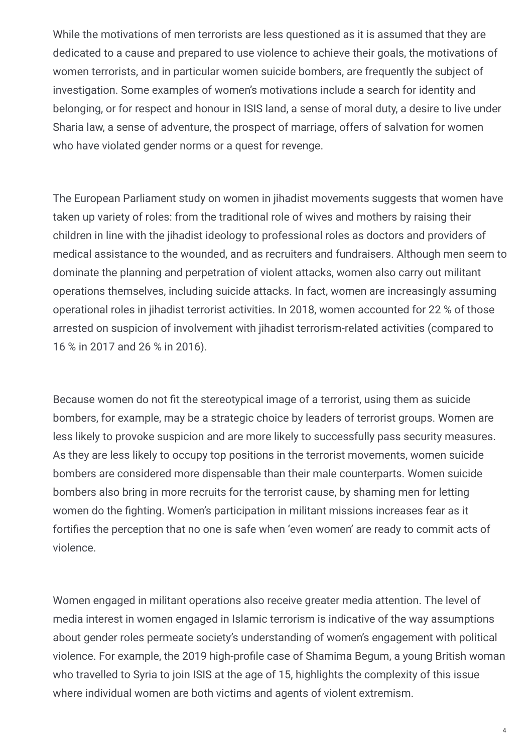While the motivations of men terrorists are less questioned as it is assumed that they are dedicated to a cause and prepared to use violence to achieve their goals, the motivations of women terrorists, and in particular women suicide bombers, are frequently the subject of investigation. Some examples of women's motivations include a search for identity and belonging, or for respect and honour in ISIS land, a sense of moral duty, a desire to live under Sharia law, a sense of adventure, the prospect of marriage, offers of salvation for women who have violated gender norms or a quest for revenge.

The European Parliament study on women in jihadist movements suggests that women have taken up variety of roles: from the traditional role of wives and mothers by raising their children in line with the jihadist ideology to professional roles as doctors and providers of medical assistance to the wounded, and as recruiters and fundraisers. Although men seem to dominate the planning and perpetration of violent attacks, women also carry out militant operations themselves, including suicide attacks. In fact, women are increasingly assuming operational roles in jihadist terrorist activities. In 2018, women accounted for 22 % of those arrested on suspicion of involvement with jihadist terrorism-related activities (compared to 16 % in 2017 and 26 % in 2016).

Because women do not fit the stereotypical image of a terrorist, using them as suicide bombers, for example, may be a strategic choice by leaders of terrorist groups. Women are less likely to provoke suspicion and are more likely to successfully pass security measures. As they are less likely to occupy top positions in the terrorist movements, women suicide bombers are considered more dispensable than their male counterparts. Women suicide bombers also bring in more recruits for the terrorist cause, by shaming men for letting women do the fighting. Women's participation in militant missions increases fear as it fortifies the perception that no one is safe when 'even women' are ready to commit acts of violence.

Women engaged in militant operations also receive greater media attention. The level of media interest in women engaged in Islamic terrorism is indicative of the way assumptions about gender roles permeate society's understanding of women's engagement with political violence. For example, the 2019 high-profile case of Shamima Begum, a young British woman who travelled to Syria to join ISIS at the age of 15, highlights the complexity of this issue where individual women are both victims and agents of violent extremism.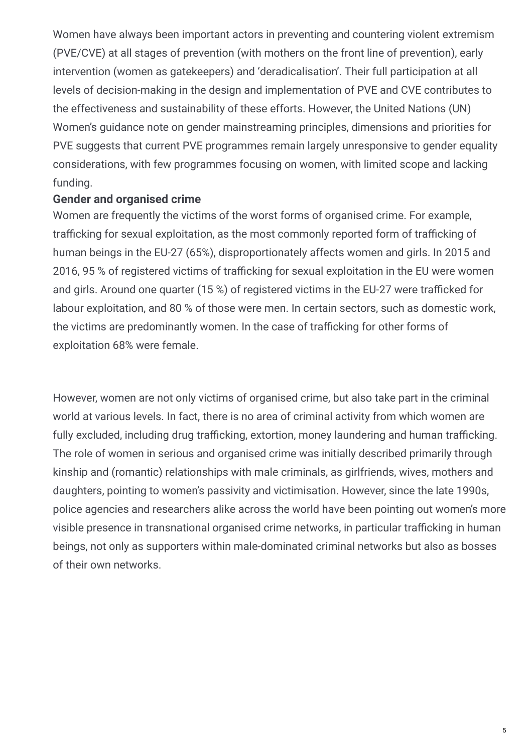Women have always been important actors in preventing and countering violent extremism (PVE/CVE) at all stages of prevention (with mothers on the front line of prevention), early intervention (women as gatekeepers) and 'deradicalisation'. Their full participation at all levels of decision-making in the design and implementation of PVE and CVE contributes to the effectiveness and sustainability of these efforts. However, the United Nations (UN) Women's guidance note on gender mainstreaming principles, dimensions and priorities for PVE suggests that current PVE programmes remain largely unresponsive to gender equality considerations, with few programmes focusing on women, with limited scope and lacking funding.

#### **Gender and organised crime**

Women are frequently the victims of the worst forms of organised crime. For example, trafficking for sexual exploitation, as the most commonly reported form of trafficking of human beings in the EU-27 (65%), disproportionately affects women and girls. In 2015 and 2016, 95 % of registered victims of trafficking for sexual exploitation in the EU were women and girls. Around one quarter (15 %) of registered victims in the EU-27 were trafficked for labour exploitation, and 80 % of those were men. In certain sectors, such as domestic work, the victims are predominantly women. In the case of trafficking for other forms of exploitation 68% were female.

However, women are not only victims of organised crime, but also take part in the criminal world at various levels. In fact, there is no area of criminal activity from which women are fully excluded, including drug trafficking, extortion, money laundering and human trafficking. The role of women in serious and organised crime was initially described primarily through kinship and (romantic) relationships with male criminals, as girlfriends, wives, mothers and daughters, pointing to women's passivity and victimisation. However, since the late 1990s, police agencies and researchers alike across the world have been pointing out women's more visible presence in transnational organised crime networks, in particular trafficking in human beings, not only as supporters within male-dominated criminal networks but also as bosses of their own networks.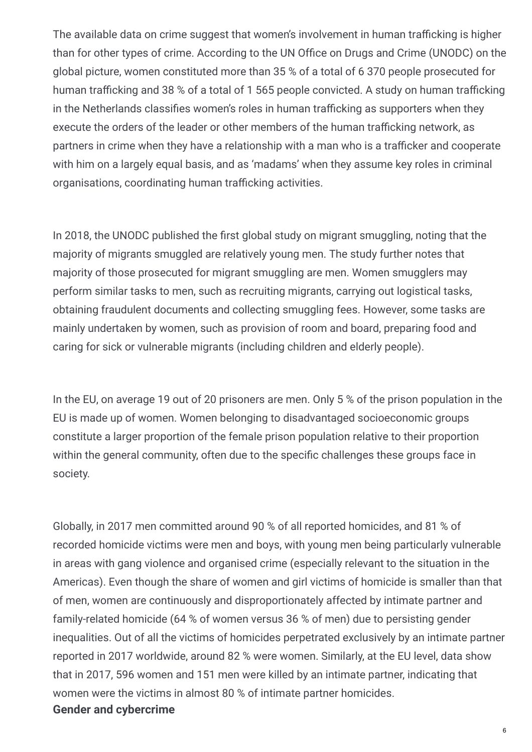The available data on crime suggest that women's involvement in human trafficking is higher than for other types of crime. According to the UN Office on Drugs and Crime (UNODC) on the global picture, women constituted more than 35 % of a total of 6 370 people prosecuted for human trafficking and 38 % of a total of 1 565 people convicted. A study on human trafficking in the Netherlands classifies women's roles in human trafficking as supporters when they execute the orders of the leader or other members of the human trafficking network, as partners in crime when they have a relationship with a man who is a trafficker and cooperate with him on a largely equal basis, and as 'madams' when they assume key roles in criminal organisations, coordinating human trafficking activities.

In 2018, the UNODC published the first global study on migrant smuggling, noting that the majority of migrants smuggled are relatively young men. The study further notes that majority of those prosecuted for migrant smuggling are men. Women smugglers may perform similar tasks to men, such as recruiting migrants, carrying out logistical tasks, obtaining fraudulent documents and collecting smuggling fees. However, some tasks are mainly undertaken by women, such as provision of room and board, preparing food and caring for sick or vulnerable migrants (including children and elderly people).

In the EU, on average 19 out of 20 prisoners are men. Only 5 % of the prison population in the EU is made up of women. Women belonging to disadvantaged socioeconomic groups constitute a larger proportion of the female prison population relative to their proportion within the general community, often due to the specific challenges these groups face in society.

Globally, in 2017 men committed around 90 % of all reported homicides, and 81 % of recorded homicide victims were men and boys, with young men being particularly vulnerable in areas with gang violence and organised crime (especially relevant to the situation in the Americas). Even though the share of women and girl victims of homicide is smaller than that of men, women are continuously and disproportionately affected by intimate partner and family-related homicide (64 % of women versus 36 % of men) due to persisting gender inequalities. Out of all the victims of homicides perpetrated exclusively by an intimate partner reported in 2017 worldwide, around 82 % were women. Similarly, at the EU level, data show that in 2017, 596 women and 151 men were killed by an intimate partner, indicating that women were the victims in almost 80 % of intimate partner homicides. **Gender and cybercrime**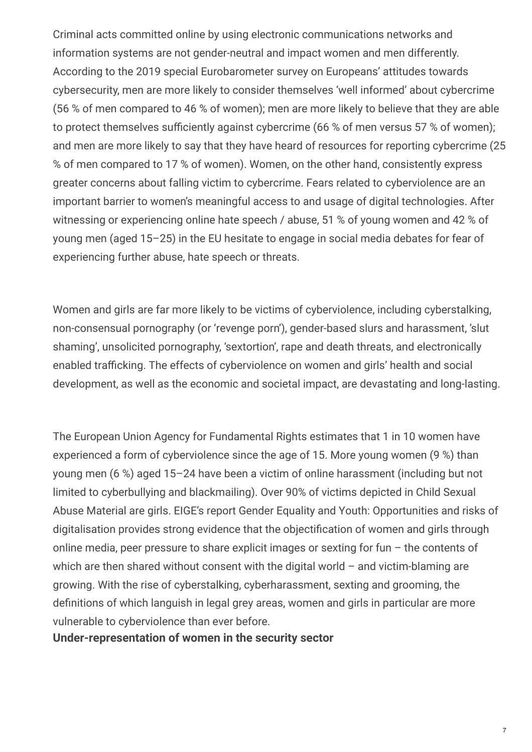Criminal acts committed online by using electronic communications networks and information systems are not gender-neutral and impact women and men differently. According to the 2019 special Eurobarometer survey on Europeans' attitudes towards cybersecurity, men are more likely to consider themselves 'well informed' about cybercrime (56 % of men compared to 46 % of women); men are more likely to believe that they are able to protect themselves sufficiently against cybercrime (66 % of men versus 57 % of women); and men are more likely to say that they have heard of resources for reporting cybercrime (25 % of men compared to 17 % of women). Women, on the other hand, consistently express greater concerns about falling victim to cybercrime. Fears related to cyberviolence are an important barrier to women's meaningful access to and usage of digital technologies. After witnessing or experiencing online hate speech / abuse, 51 % of young women and 42 % of young men (aged 15–25) in the EU hesitate to engage in social media debates for fear of experiencing further abuse, hate speech or threats.

Women and girls are far more likely to be victims of cyberviolence, including cyberstalking, non-consensual pornography (or 'revenge porn'), gender-based slurs and harassment, 'slut shaming', unsolicited pornography, 'sextortion', rape and death threats, and electronically enabled trafficking. The effects of cyberviolence on women and girls' health and social development, as well as the economic and societal impact, are devastating and long-lasting.

The European Union Agency for Fundamental Rights estimates that 1 in 10 women have experienced a form of cyberviolence since the age of 15. More young women (9 %) than young men (6 %) aged 15–24 have been a victim of online harassment (including but not limited to cyberbullying and blackmailing). Over 90% of victims depicted in Child Sexual Abuse Material are girls. EIGE's report Gender Equality and Youth: Opportunities and risks of digitalisation provides strong evidence that the objectification of women and girls through online media, peer pressure to share explicit images or sexting for fun – the contents of which are then shared without consent with the digital world  $-$  and victim-blaming are growing. With the rise of cyberstalking, cyberharassment, sexting and grooming, the definitions of which languish in legal grey areas, women and girls in particular are more vulnerable to cyberviolence than ever before.

**Under-representation of women in the security sector**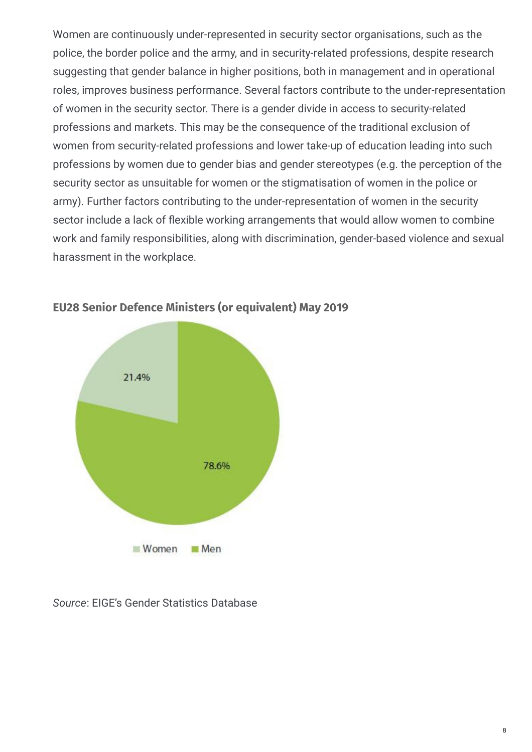Women are continuously under-represented in security sector organisations, such as the police, the border police and the army, and in security-related professions, despite research suggesting that gender balance in higher positions, both in management and in operational roles, improves business performance. Several factors contribute to the under-representation of women in the security sector. There is a gender divide in access to security-related professions and markets. This may be the consequence of the traditional exclusion of women from security-related professions and lower take-up of education leading into such professions by women due to gender bias and gender stereotypes (e.g. the perception of the security sector as unsuitable for women or the stigmatisation of women in the police or army). Further factors contributing to the under-representation of women in the security sector include a lack of flexible working arrangements that would allow women to combine work and family responsibilities, along with discrimination, gender-based violence and sexual harassment in the workplace.



#### **EU28 Senior Defence Ministers (or equivalent) May 2019**

*Source*: EIGE's Gender Statistics Database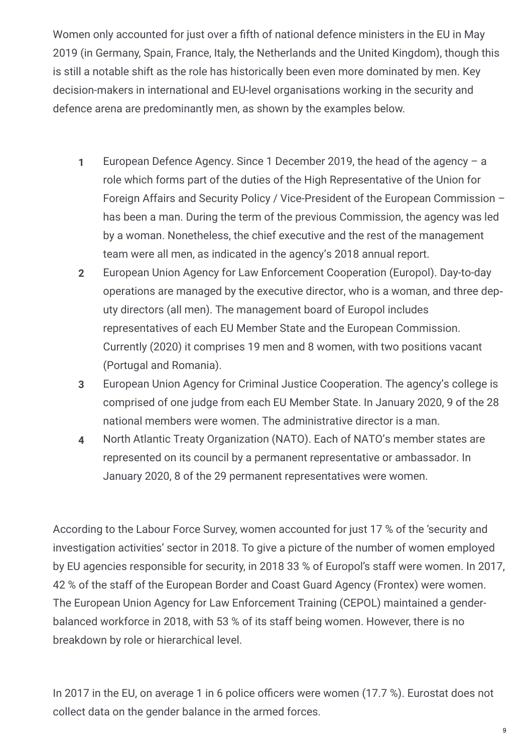Women only accounted for just over a fifth of national defence ministers in the EU in May 2019 (in Germany, Spain, France, Italy, the Netherlands and the United Kingdom), though this is still a notable shift as the role has historically been even more dominated by men. Key decision-makers in international and EU-level organisations working in the security and defence arena are predominantly men, as shown by the examples below.

- European Defence Agency. Since 1 December 2019, the head of the agency a role which forms part of the duties of the High Representative of the Union for Foreign Affairs and Security Policy / Vice-President of the European Commission – has been a man. During the term of the previous Commission, the agency was led by a woman. Nonetheless, the chief executive and the rest of the management team were all men, as indicated in the agency's 2018 annual report. **1**
- European Union Agency for Law Enforcement Cooperation (Europol). Day-to-day operations are managed by the executive director, who is a woman, and three dep‐ uty directors (all men). The management board of Europol includes representatives of each EU Member State and the European Commission. Currently (2020) it comprises 19 men and 8 women, with two positions vacant (Portugal and Romania). **2**
- European Union Agency for Criminal Justice Cooperation. The agency's college is comprised of one judge from each EU Member State. In January 2020, 9 of the 28 national members were women. The administrative director is a man. **3**
- North Atlantic Treaty Organization (NATO). Each of NATO's member states are represented on its council by a permanent representative or ambassador. In January 2020, 8 of the 29 permanent representatives were women. **4**

According to the Labour Force Survey, women accounted for just 17 % of the 'security and investigation activities' sector in 2018. To give a picture of the number of women employed by EU agencies responsible for security, in 2018 33 % of Europol's staff were women. In 2017, 42 % of the staff of the European Border and Coast Guard Agency (Frontex) were women. The European Union Agency for Law Enforcement Training (CEPOL) maintained a genderbalanced workforce in 2018, with 53 % of its staff being women. However, there is no breakdown by role or hierarchical level.

In 2017 in the EU, on average 1 in 6 police officers were women (17.7 %). Eurostat does not collect data on the gender balance in the armed forces.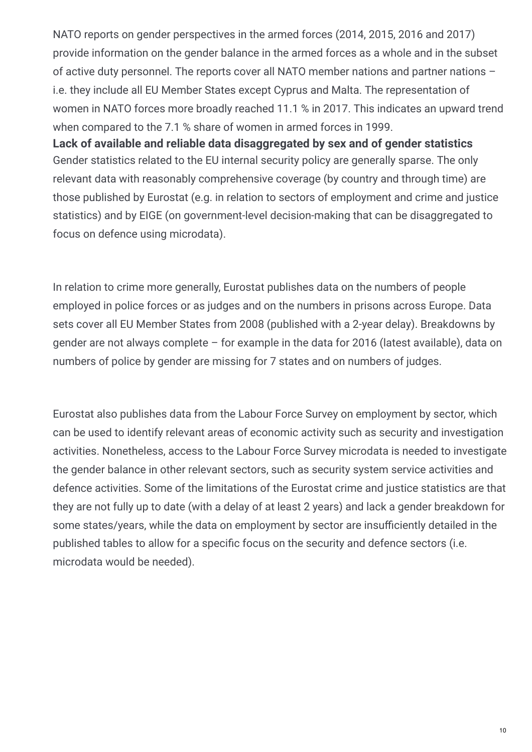NATO reports on gender perspectives in the armed forces (2014, 2015, 2016 and 2017) provide information on the gender balance in the armed forces as a whole and in the subset of active duty personnel. The reports cover all NATO member nations and partner nations – i.e. they include all EU Member States except Cyprus and Malta. The representation of women in NATO forces more broadly reached 11.1 % in 2017. This indicates an upward trend when compared to the 7.1 % share of women in armed forces in 1999. **Lack of available and reliable data disaggregated by sex and of gender statistics**

Gender statistics related to the EU internal security policy are generally sparse. The only relevant data with reasonably comprehensive coverage (by country and through time) are those published by Eurostat (e.g. in relation to sectors of employment and crime and justice statistics) and by EIGE (on government-level decision-making that can be disaggregated to focus on defence using microdata).

In relation to crime more generally, Eurostat publishes data on the numbers of people employed in police forces or as judges and on the numbers in prisons across Europe. Data sets cover all EU Member States from 2008 (published with a 2-year delay). Breakdowns by gender are not always complete – for example in the data for 2016 (latest available), data on numbers of police by gender are missing for 7 states and on numbers of judges.

Eurostat also publishes data from the Labour Force Survey on employment by sector, which can be used to identify relevant areas of economic activity such as security and investigation activities. Nonetheless, access to the Labour Force Survey microdata is needed to investigate the gender balance in other relevant sectors, such as security system service activities and defence activities. Some of the limitations of the Eurostat crime and justice statistics are that they are not fully up to date (with a delay of at least 2 years) and lack a gender breakdown for some states/years, while the data on employment by sector are insufficiently detailed in the published tables to allow for a specific focus on the security and defence sectors (i.e. microdata would be needed).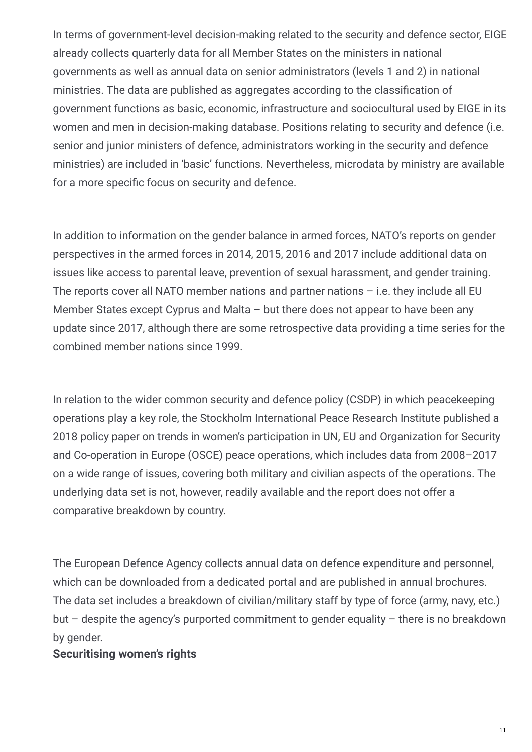In terms of government-level decision-making related to the security and defence sector, EIGE already collects quarterly data for all Member States on the ministers in national governments as well as annual data on senior administrators (levels 1 and 2) in national ministries. The data are published as aggregates according to the classification of government functions as basic, economic, infrastructure and sociocultural used by EIGE in its women and men in decision-making database. Positions relating to security and defence (i.e. senior and junior ministers of defence, administrators working in the security and defence ministries) are included in 'basic' functions. Nevertheless, microdata by ministry are available for a more specific focus on security and defence.

In addition to information on the gender balance in armed forces, NATO's reports on gender perspectives in the armed forces in 2014, 2015, 2016 and 2017 include additional data on issues like access to parental leave, prevention of sexual harassment, and gender training. The reports cover all NATO member nations and partner nations  $-$  i.e. they include all EU Member States except Cyprus and Malta – but there does not appear to have been any update since 2017, although there are some retrospective data providing a time series for the combined member nations since 1999.

In relation to the wider common security and defence policy (CSDP) in which peacekeeping operations play a key role, the Stockholm International Peace Research Institute published a 2018 policy paper on trends in women's participation in UN, EU and Organization for Security and Co-operation in Europe (OSCE) peace operations, which includes data from 2008–2017 on a wide range of issues, covering both military and civilian aspects of the operations. The underlying data set is not, however, readily available and the report does not offer a comparative breakdown by country.

The European Defence Agency collects annual data on defence expenditure and personnel, which can be downloaded from a dedicated portal and are published in annual brochures. The data set includes a breakdown of civilian/military staff by type of force (army, navy, etc.) but  $-$  despite the agency's purported commitment to gender equality  $-$  there is no breakdown by gender.

#### **Securitising women's rights**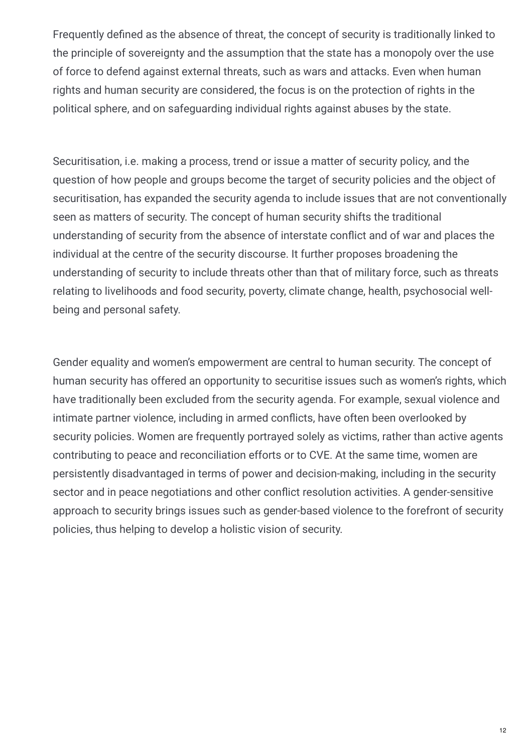Frequently defined as the absence of threat, the concept of security is traditionally linked to the principle of sovereignty and the assumption that the state has a monopoly over the use of force to defend against external threats, such as wars and attacks. Even when human rights and human security are considered, the focus is on the protection of rights in the political sphere, and on safeguarding individual rights against abuses by the state.

Securitisation, i.e. making a process, trend or issue a matter of security policy, and the question of how people and groups become the target of security policies and the object of securitisation, has expanded the security agenda to include issues that are not conventionally seen as matters of security. The concept of human security shifts the traditional understanding of security from the absence of interstate conflict and of war and places the individual at the centre of the security discourse. It further proposes broadening the understanding of security to include threats other than that of military force, such as threats relating to livelihoods and food security, poverty, climate change, health, psychosocial wellbeing and personal safety.

Gender equality and women's empowerment are central to human security. The concept of human security has offered an opportunity to securitise issues such as women's rights, which have traditionally been excluded from the security agenda. For example, sexual violence and intimate partner violence, including in armed conflicts, have often been overlooked by security policies. Women are frequently portrayed solely as victims, rather than active agents contributing to peace and reconciliation efforts or to CVE. At the same time, women are persistently disadvantaged in terms of power and decision-making, including in the security sector and in peace negotiations and other conflict resolution activities. A gender-sensitive approach to security brings issues such as gender-based violence to the forefront of security policies, thus helping to develop a holistic vision of security.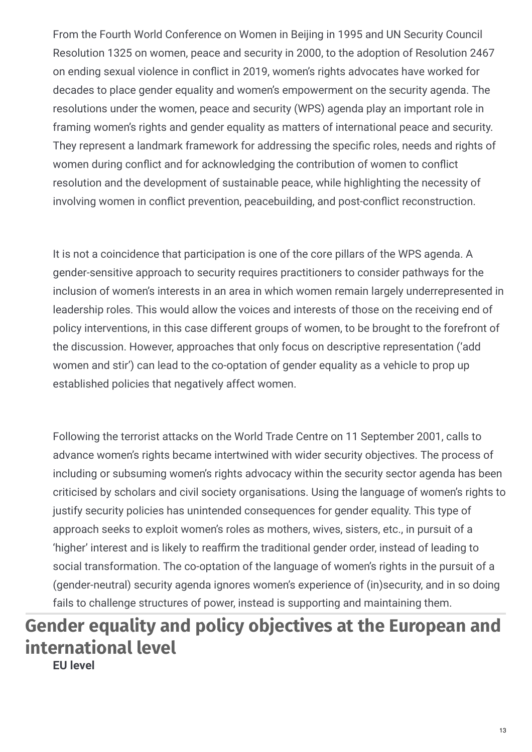From the Fourth World Conference on Women in Beijing in 1995 and UN Security Council Resolution 1325 on women, peace and security in 2000, to the adoption of Resolution 2467 on ending sexual violence in conflict in 2019, women's rights advocates have worked for decades to place gender equality and women's empowerment on the security agenda. The resolutions under the women, peace and security (WPS) agenda play an important role in framing women's rights and gender equality as matters of international peace and security. They represent a landmark framework for addressing the specific roles, needs and rights of women during conflict and for acknowledging the contribution of women to conflict resolution and the development of sustainable peace, while highlighting the necessity of involving women in conflict prevention, peacebuilding, and post-conflict reconstruction.

It is not a coincidence that participation is one of the core pillars of the WPS agenda. A gender-sensitive approach to security requires practitioners to consider pathways for the inclusion of women's interests in an area in which women remain largely underrepresented in leadership roles. This would allow the voices and interests of those on the receiving end of policy interventions, in this case different groups of women, to be brought to the forefront of the discussion. However, approaches that only focus on descriptive representation ('add women and stir') can lead to the co-optation of gender equality as a vehicle to prop up established policies that negatively affect women.

Following the terrorist attacks on the World Trade Centre on 11 September 2001, calls to advance women's rights became intertwined with wider security objectives. The process of including or subsuming women's rights advocacy within the security sector agenda has been criticised by scholars and civil society organisations. Using the language of women's rights to justify security policies has unintended consequences for gender equality. This type of approach seeks to exploit women's roles as mothers, wives, sisters, etc., in pursuit of a 'higher' interest and is likely to reaffirm the traditional gender order, instead of leading to social transformation. The co-optation of the language of women's rights in the pursuit of a (gender-neutral) security agenda ignores women's experience of (in)security, and in so doing fails to challenge structures of power, instead is supporting and maintaining them.

# **Gender equality and policy objectives at the European and international level**

**EU level**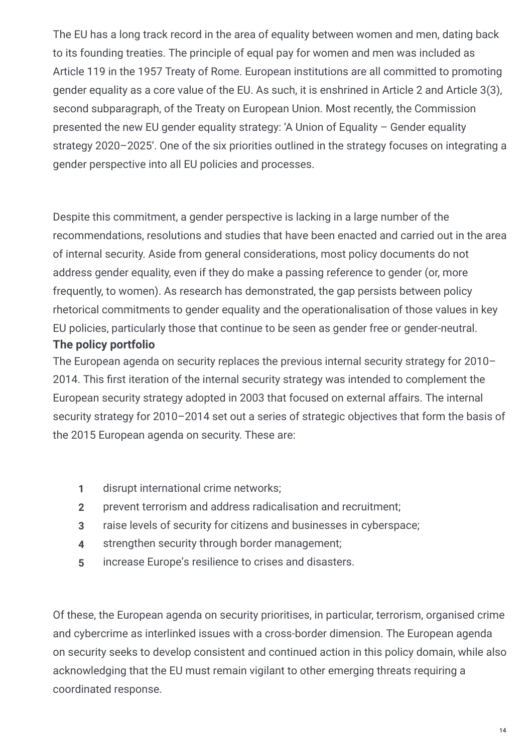The EU has a long track record in the area of equality between women and men, dating back to its founding treaties. The principle of equal pay for women and men was included as Article 119 in the 1957 Treaty of Rome. European institutions are all committed to promoting gender equality as a core value of the EU. As such, it is enshrined in Article 2 and Article 3(3), second subparagraph, of the Treaty on European Union. Most recently, the Commission presented the new EU gender equality strategy: 'A Union of Equality – Gender equality strategy 2020–2025'. One of the six priorities outlined in the strategy focuses on integrating a gender perspective into all EU policies and processes.

Despite this commitment, a gender perspective is lacking in a large number of the recommendations, resolutions and studies that have been enacted and carried out in the area of internal security. Aside from general considerations, most policy documents do not address gender equality, even if they do make a passing reference to gender (or, more frequently, to women). As research has demonstrated, the gap persists between policy rhetorical commitments to gender equality and the operationalisation of those values in key EU policies, particularly those that continue to be seen as gender free or gender-neutral. **The policy portfolio**

The European agenda on security replaces the previous internal security strategy for 2010– 2014. This first iteration of the internal security strategy was intended to complement the European security strategy adopted in 2003 that focused on external affairs. The internal security strategy for 2010–2014 set out a series of strategic objectives that form the basis of the 2015 European agenda on security. These are:

- **1** disrupt international crime networks;
- **2** prevent terrorism and address radicalisation and recruitment;
- **3** raise levels of security for citizens and businesses in cyberspace;
- **4** strengthen security through border management;
- **5** increase Europe's resilience to crises and disasters.

Of these, the European agenda on security prioritises, in particular, terrorism, organised crime and cybercrime as interlinked issues with a cross-border dimension. The European agenda on security seeks to develop consistent and continued action in this policy domain, while also acknowledging that the EU must remain vigilant to other emerging threats requiring a coordinated response.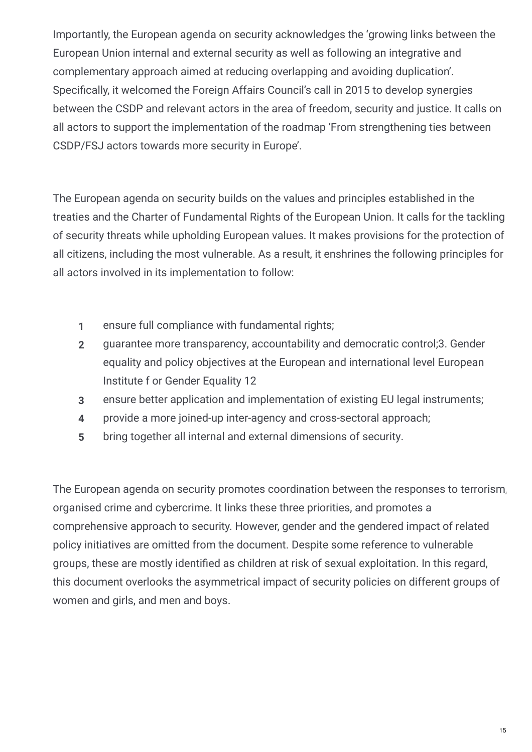Importantly, the European agenda on security acknowledges the 'growing links between the European Union internal and external security as well as following an integrative and complementary approach aimed at reducing overlapping and avoiding duplication'. Specifically, it welcomed the Foreign Affairs Council's call in 2015 to develop synergies between the CSDP and relevant actors in the area of freedom, security and justice. It calls on all actors to support the implementation of the roadmap 'From strengthening ties between CSDP/FSJ actors towards more security in Europe'.

The European agenda on security builds on the values and principles established in the treaties and the Charter of Fundamental Rights of the European Union. It calls for the tackling of security threats while upholding European values. It makes provisions for the protection of all citizens, including the most vulnerable. As a result, it enshrines the following principles for all actors involved in its implementation to follow:

- **1** ensure full compliance with fundamental rights;
- guarantee more transparency, accountability and democratic control;3. Gender equality and policy objectives at the European and international level European Institute f or Gender Equality 12 **2**
- **3** ensure better application and implementation of existing EU legal instruments;
- **4** provide a more joined-up inter-agency and cross-sectoral approach;
- **5** bring together all internal and external dimensions of security.

The European agenda on security promotes coordination between the responses to terrorism, organised crime and cybercrime. It links these three priorities, and promotes a comprehensive approach to security. However, gender and the gendered impact of related policy initiatives are omitted from the document. Despite some reference to vulnerable groups, these are mostly identified as children at risk of sexual exploitation. In this regard, this document overlooks the asymmetrical impact of security policies on different groups of women and girls, and men and boys.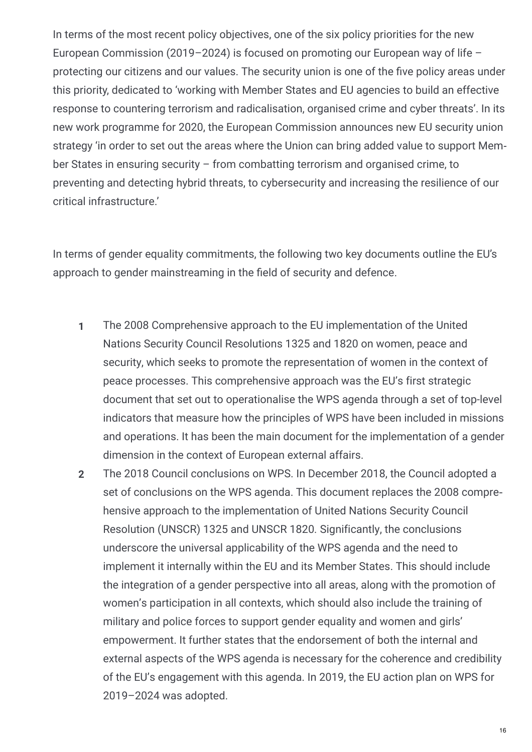In terms of the most recent policy objectives, one of the six policy priorities for the new European Commission (2019–2024) is focused on promoting our European way of life – protecting our citizens and our values. The security union is one of the five policy areas under this priority, dedicated to 'working with Member States and EU agencies to build an effective response to countering terrorism and radicalisation, organised crime and cyber threats'. In its new work programme for 2020, the European Commission announces new EU security union strategy 'in order to set out the areas where the Union can bring added value to support Mem‐ ber States in ensuring security – from combatting terrorism and organised crime, to preventing and detecting hybrid threats, to cybersecurity and increasing the resilience of our critical infrastructure.'

In terms of gender equality commitments, the following two key documents outline the EU's approach to gender mainstreaming in the field of security and defence.

- The 2008 Comprehensive approach to the EU implementation of the United Nations Security Council Resolutions 1325 and 1820 on women, peace and security, which seeks to promote the representation of women in the context of peace processes. This comprehensive approach was the EU's first strategic document that set out to operationalise the WPS agenda through a set of top-level indicators that measure how the principles of WPS have been included in missions and operations. It has been the main document for the implementation of a gender dimension in the context of European external affairs. **1**
- The 2018 Council conclusions on WPS. In December 2018, the Council adopted a set of conclusions on the WPS agenda. This document replaces the 2008 compre‐ hensive approach to the implementation of United Nations Security Council Resolution (UNSCR) 1325 and UNSCR 1820*.* Significantly, the conclusions underscore the universal applicability of the WPS agenda and the need to implement it internally within the EU and its Member States. This should include the integration of a gender perspective into all areas, along with the promotion of women's participation in all contexts, which should also include the training of military and police forces to support gender equality and women and girls' empowerment. It further states that the endorsement of both the internal and external aspects of the WPS agenda is necessary for the coherence and credibility of the EU's engagement with this agenda. In 2019, the EU action plan on WPS for 2019–2024 was adopted. **2**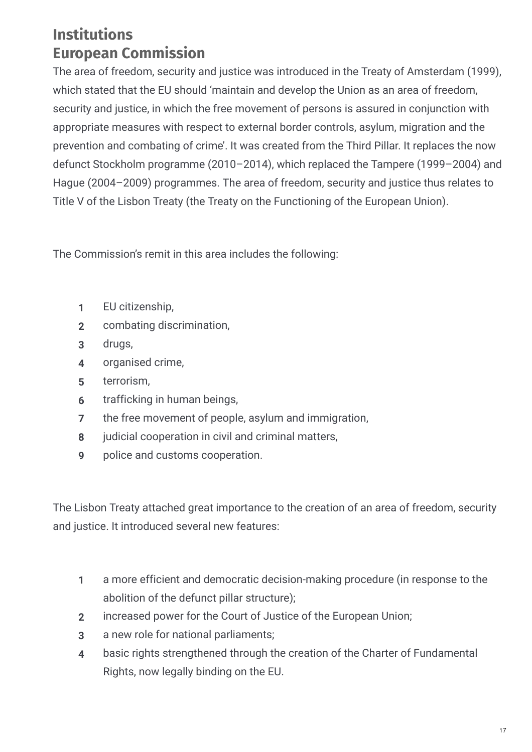## **Institutions European Commission**

The area of freedom, security and justice was introduced in the Treaty of Amsterdam (1999), which stated that the EU should 'maintain and develop the Union as an area of freedom, security and justice, in which the free movement of persons is assured in conjunction with appropriate measures with respect to external border controls, asylum, migration and the prevention and combating of crime'. It was created from the Third Pillar. It replaces the now defunct Stockholm programme (2010–2014), which replaced the Tampere (1999–2004) and Hague (2004–2009) programmes. The area of freedom, security and justice thus relates to Title V of the Lisbon Treaty (the Treaty on the Functioning of the European Union).

The Commission's remit in this area includes the following:

- **1** EU citizenship,
- **2** combating discrimination,
- **3** drugs,
- **4** organised crime,
- **5** terrorism,
- **6** trafficking in human beings,
- **7** the free movement of people, asylum and immigration,
- **8** judicial cooperation in civil and criminal matters,
- **9** police and customs cooperation.

The Lisbon Treaty attached great importance to the creation of an area of freedom, security and justice. It introduced several new features:

- a more efficient and democratic decision-making procedure (in response to the abolition of the defunct pillar structure); **1**
- **2** increased power for the Court of Justice of the European Union;
- **3** a new role for national parliaments;
- basic rights strengthened through the creation of the Charter of Fundamental Rights, now legally binding on the EU. **4**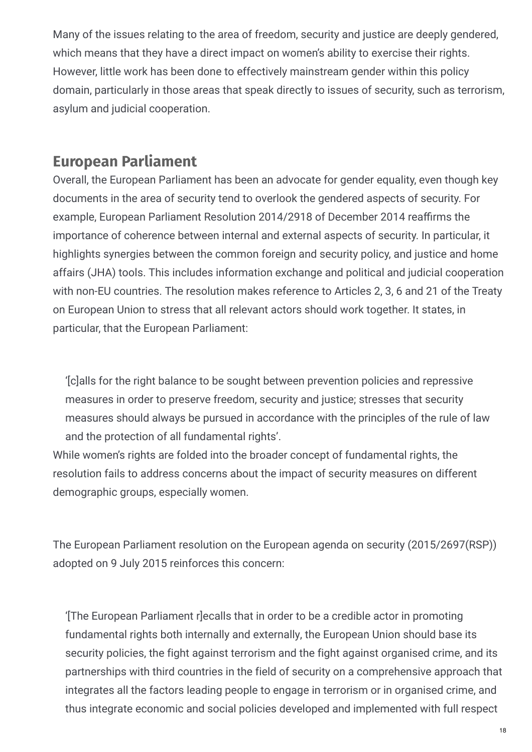Many of the issues relating to the area of freedom, security and justice are deeply gendered, which means that they have a direct impact on women's ability to exercise their rights. However, little work has been done to effectively mainstream gender within this policy domain, particularly in those areas that speak directly to issues of security, such as terrorism, asylum and judicial cooperation.

### **European Parliament**

Overall, the European Parliament has been an advocate for gender equality, even though key documents in the area of security tend to overlook the gendered aspects of security. For example, European Parliament Resolution 2014/2918 of December 2014 reaffirms the importance of coherence between internal and external aspects of security. In particular, it highlights synergies between the common foreign and security policy, and justice and home affairs (JHA) tools. This includes information exchange and political and judicial cooperation with non-EU countries. The resolution makes reference to Articles 2, 3, 6 and 21 of the Treaty on European Union to stress that all relevant actors should work together. It states, in particular, that the European Parliament:

'[c]alls for the right balance to be sought between prevention policies and repressive measures in order to preserve freedom, security and justice; stresses that security measures should always be pursued in accordance with the principles of the rule of law and the protection of all fundamental rights'.

While women's rights are folded into the broader concept of fundamental rights, the resolution fails to address concerns about the impact of security measures on different demographic groups, especially women.

The European Parliament resolution on the European agenda on security (2015/2697(RSP)) adopted on 9 July 2015 reinforces this concern:

'[The European Parliament r]ecalls that in order to be a credible actor in promoting fundamental rights both internally and externally, the European Union should base its security policies, the fight against terrorism and the fight against organised crime, and its partnerships with third countries in the field of security on a comprehensive approach that integrates all the factors leading people to engage in terrorism or in organised crime, and thus integrate economic and social policies developed and implemented with full respect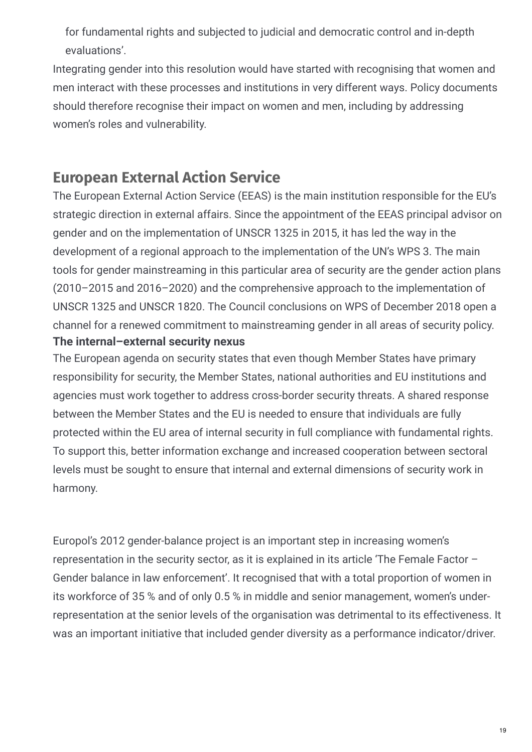for fundamental rights and subjected to judicial and democratic control and in-depth evaluations'.

Integrating gender into this resolution would have started with recognising that women and men interact with these processes and institutions in very different ways. Policy documents should therefore recognise their impact on women and men, including by addressing women's roles and vulnerability.

## **European External Action Service**

The European External Action Service (EEAS) is the main institution responsible for the EU's strategic direction in external affairs. Since the appointment of the EEAS principal advisor on gender and on the implementation of UNSCR 1325 in 2015, it has led the way in the development of a regional approach to the implementation of the UN's WPS 3. The main tools for gender mainstreaming in this particular area of security are the gender action plans (2010–2015 and 2016–2020) and the comprehensive approach to the implementation of UNSCR 1325 and UNSCR 1820. The Council conclusions on WPS of December 2018 open a channel for a renewed commitment to mainstreaming gender in all areas of security policy. **The internal–external security nexus**

The European agenda on security states that even though Member States have primary responsibility for security, the Member States, national authorities and EU institutions and agencies must work together to address cross-border security threats. A shared response between the Member States and the EU is needed to ensure that individuals are fully protected within the EU area of internal security in full compliance with fundamental rights. To support this, better information exchange and increased cooperation between sectoral levels must be sought to ensure that internal and external dimensions of security work in harmony.

Europol's 2012 gender-balance project is an important step in increasing women's representation in the security sector, as it is explained in its article 'The Female Factor – Gender balance in law enforcement'. It recognised that with a total proportion of women in its workforce of 35 % and of only 0.5 % in middle and senior management, women's underrepresentation at the senior levels of the organisation was detrimental to its effectiveness. It was an important initiative that included gender diversity as a performance indicator/driver.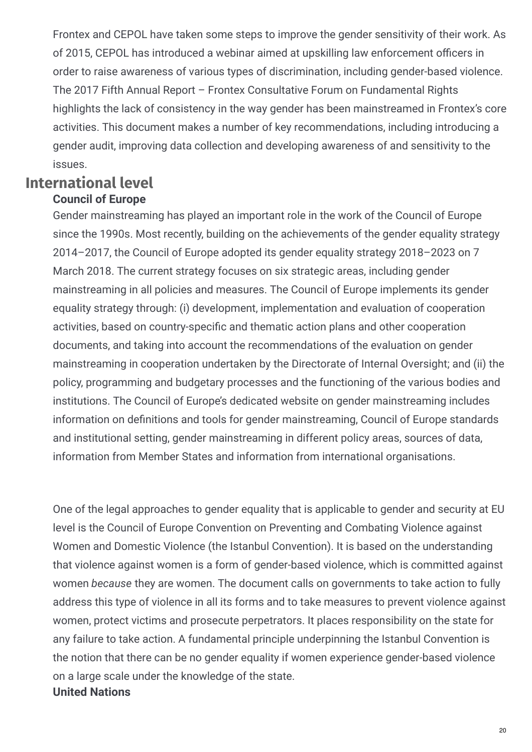Frontex and CEPOL have taken some steps to improve the gender sensitivity of their work. As of 2015, CEPOL has introduced a webinar aimed at upskilling law enforcement officers in order to raise awareness of various types of discrimination, including gender-based violence. The 2017 Fifth Annual Report – Frontex Consultative Forum on Fundamental Rights highlights the lack of consistency in the way gender has been mainstreamed in Frontex's core activities. This document makes a number of key recommendations, including introducing a gender audit, improving data collection and developing awareness of and sensitivity to the issues.

#### **International level Council of Europe**

## Gender mainstreaming has played an important role in the work of the Council of Europe since the 1990s. Most recently, building on the achievements of the gender equality strategy 2014–2017, the Council of Europe adopted its gender equality strategy 2018–2023 on 7 March 2018. The current strategy focuses on six strategic areas, including gender mainstreaming in all policies and measures. The Council of Europe implements its gender equality strategy through: (i) development, implementation and evaluation of cooperation activities, based on country-specific and thematic action plans and other cooperation documents, and taking into account the recommendations of the evaluation on gender mainstreaming in cooperation undertaken by the Directorate of Internal Oversight; and (ii) the policy, programming and budgetary processes and the functioning of the various bodies and institutions. The Council of Europe's dedicated website on gender mainstreaming includes information on definitions and tools for gender mainstreaming, Council of Europe standards and institutional setting, gender mainstreaming in different policy areas, sources of data, information from Member States and information from international organisations.

One of the legal approaches to gender equality that is applicable to gender and security at EU level is the Council of Europe Convention on Preventing and Combating Violence against Women and Domestic Violence (the Istanbul Convention). It is based on the understanding that violence against women is a form of gender-based violence, which is committed against women *because* they are women. The document calls on governments to take action to fully address this type of violence in all its forms and to take measures to prevent violence against women, protect victims and prosecute perpetrators. It places responsibility on the state for any failure to take action. A fundamental principle underpinning the Istanbul Convention is the notion that there can be no gender equality if women experience gender-based violence on a large scale under the knowledge of the state. **United Nations**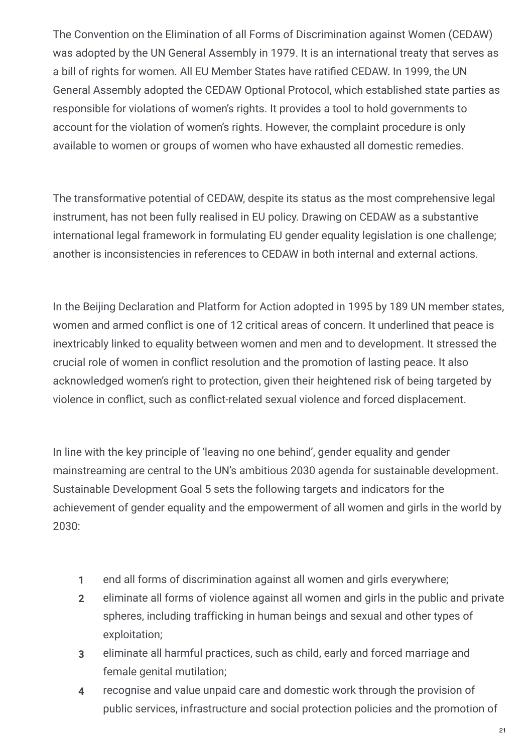The Convention on the Elimination of all Forms of Discrimination against Women (CEDAW) was adopted by the UN General Assembly in 1979. It is an international treaty that serves as a bill of rights for women. All EU Member States have ratified CEDAW. In 1999, the UN General Assembly adopted the CEDAW Optional Protocol, which established state parties as responsible for violations of women's rights. It provides a tool to hold governments to account for the violation of women's rights. However, the complaint procedure is only available to women or groups of women who have exhausted all domestic remedies.

The transformative potential of CEDAW, despite its status as the most comprehensive legal instrument, has not been fully realised in EU policy. Drawing on CEDAW as a substantive international legal framework in formulating EU gender equality legislation is one challenge; another is inconsistencies in references to CEDAW in both internal and external actions.

In the Beijing Declaration and Platform for Action adopted in 1995 by 189 UN member states, women and armed conflict is one of 12 critical areas of concern. It underlined that peace is inextricably linked to equality between women and men and to development. It stressed the crucial role of women in conflict resolution and the promotion of lasting peace. It also acknowledged women's right to protection, given their heightened risk of being targeted by violence in conflict, such as conflict-related sexual violence and forced displacement.

In line with the key principle of 'leaving no one behind', gender equality and gender mainstreaming are central to the UN's ambitious 2030 agenda for sustainable development. Sustainable Development Goal 5 sets the following targets and indicators for the achievement of gender equality and the empowerment of all women and girls in the world by 2030:

- **1** end all forms of discrimination against all women and girls everywhere;
- eliminate all forms of violence against all women and girls in the public and private spheres, including trafficking in human beings and sexual and other types of exploitation; **2**
- eliminate all harmful practices, such as child, early and forced marriage and female genital mutilation; **3**
- recognise and value unpaid care and domestic work through the provision of public services, infrastructure and social protection policies and the promotion of **4**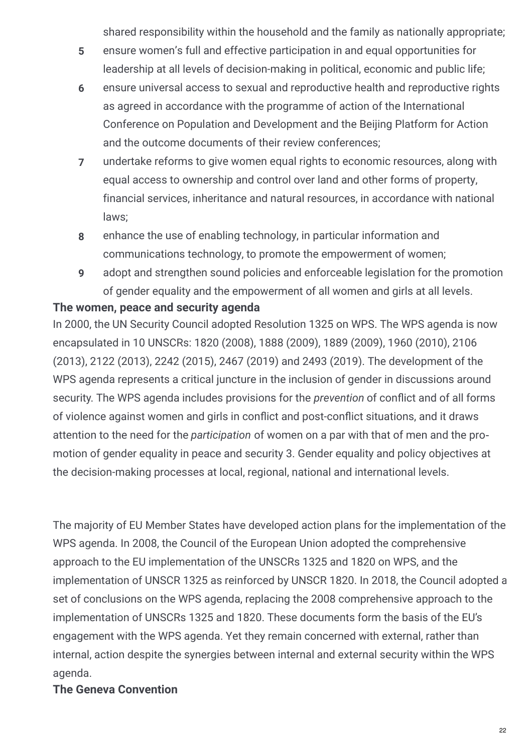shared responsibility within the household and the family as nationally appropriate;

- ensure women's full and effective participation in and equal opportunities for leadership at all levels of decision-making in political, economic and public life; **5**
- ensure universal access to sexual and reproductive health and reproductive rights as agreed in accordance with the programme of action of the International Conference on Population and Development and the Beijing Platform for Action and the outcome documents of their review conferences; **6**
- undertake reforms to give women equal rights to economic resources, along with equal access to ownership and control over land and other forms of property, financial services, inheritance and natural resources, in accordance with national laws; **7**
- enhance the use of enabling technology, in particular information and communications technology, to promote the empowerment of women; **8**
- adopt and strengthen sound policies and enforceable legislation for the promotion of gender equality and the empowerment of all women and girls at all levels. **9**

#### **The women, peace and security agenda**

In 2000, the UN Security Council adopted Resolution 1325 on WPS. The WPS agenda is now encapsulated in 10 UNSCRs: 1820 (2008), 1888 (2009), 1889 (2009), 1960 (2010), 2106 (2013), 2122 (2013), 2242 (2015), 2467 (2019) and 2493 (2019). The development of the WPS agenda represents a critical juncture in the inclusion of gender in discussions around security. The WPS agenda includes provisions for the *prevention* of conflict and of all forms of violence against women and girls in conflict and post-conflict situations, and it draws attention to the need for the *participation* of women on a par with that of men and the pro‐ motion of gender equality in peace and security 3. Gender equality and policy objectives at the decision-making processes at local, regional, national and international levels.

The majority of EU Member States have developed action plans for the implementation of the WPS agenda. In 2008, the Council of the European Union adopted the comprehensive approach to the EU implementation of the UNSCRs 1325 and 1820 on WPS, and the implementation of UNSCR 1325 as reinforced by UNSCR 1820. In 2018, the Council adopted a set of conclusions on the WPS agenda, replacing the 2008 comprehensive approach to the implementation of UNSCRs 1325 and 1820. These documents form the basis of the EU's engagement with the WPS agenda. Yet they remain concerned with external, rather than internal, action despite the synergies between internal and external security within the WPS agenda.

#### **The Geneva Convention**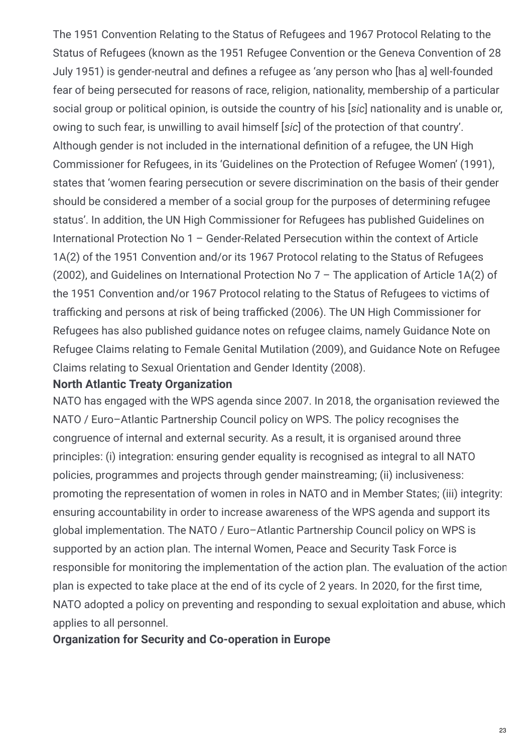The 1951 Convention Relating to the Status of Refugees and 1967 Protocol Relating to the Status of Refugees (known as the 1951 Refugee Convention or the Geneva Convention of 28 July 1951) is gender-neutral and defines a refugee as 'any person who [has a] well-founded fear of being persecuted for reasons of race, religion, nationality, membership of a particular social group or political opinion, is outside the country of his [*sic*] nationality and is unable or, owing to such fear, is unwilling to avail himself [*sic*] of the protection of that country'. Although gender is not included in the international definition of a refugee, the UN High Commissioner for Refugees, in its 'Guidelines on the Protection of Refugee Women' (1991), states that 'women fearing persecution or severe discrimination on the basis of their gender should be considered a member of a social group for the purposes of determining refugee status'. In addition, the UN High Commissioner for Refugees has published Guidelines on International Protection No 1 – Gender-Related Persecution within the context of Article 1A(2) of the 1951 Convention and/or its 1967 Protocol relating to the Status of Refugees (2002), and Guidelines on International Protection No 7 – The application of Article 1A(2) of the 1951 Convention and/or 1967 Protocol relating to the Status of Refugees to victims of trafficking and persons at risk of being trafficked (2006). The UN High Commissioner for Refugees has also published guidance notes on refugee claims, namely Guidance Note on Refugee Claims relating to Female Genital Mutilation (2009), and Guidance Note on Refugee Claims relating to Sexual Orientation and Gender Identity (2008).

#### **North Atlantic Treaty Organization**

NATO has engaged with the WPS agenda since 2007. In 2018, the organisation reviewed the NATO / Euro–Atlantic Partnership Council policy on WPS. The policy recognises the congruence of internal and external security. As a result, it is organised around three principles: (i) integration: ensuring gender equality is recognised as integral to all NATO policies, programmes and projects through gender mainstreaming; (ii) inclusiveness: promoting the representation of women in roles in NATO and in Member States; (iii) integrity: ensuring accountability in order to increase awareness of the WPS agenda and support its global implementation. The NATO / Euro–Atlantic Partnership Council policy on WPS is supported by an action plan. The internal Women, Peace and Security Task Force is responsible for monitoring the implementation of the action plan. The evaluation of the action plan is expected to take place at the end of its cycle of 2 years. In 2020, for the first time, NATO adopted a policy on preventing and responding to sexual exploitation and abuse, which applies to all personnel.

#### **Organization for Security and Co-operation in Europe**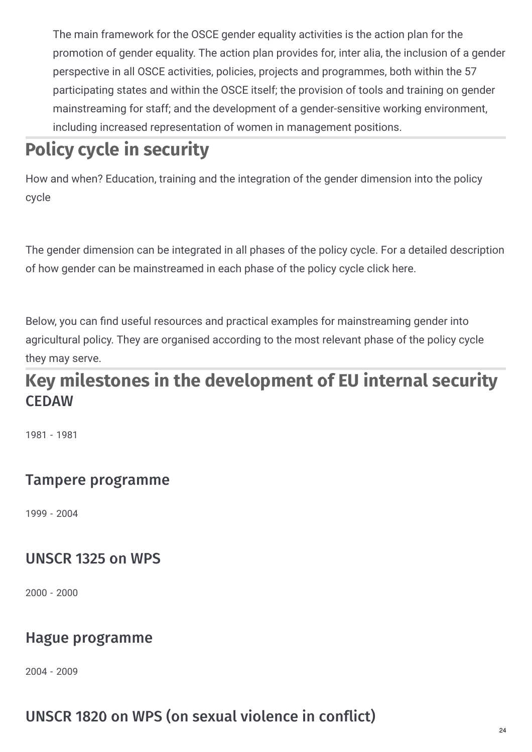The main framework for the OSCE gender equality activities is the action plan for the promotion of gender equality. The action plan provides for, inter alia, the inclusion of a gender perspective in all OSCE activities, policies, projects and programmes, both within the 57 participating states and within the OSCE itself; the provision of tools and training on gender mainstreaming for staff; and the development of a gender-sensitive working environment, including increased representation of women in management positions.

# **Policy cycle in security**

How and when? Education, training and the integration of the gender dimension into the policy cycle

The gender dimension can be integrated in all phases of the policy cycle. For a detailed description of how gender can be mainstreamed in each phase of the policy cycle click here.

Below, you can find useful resources and practical examples for mainstreaming gender into agricultural policy. They are organised according to the most relevant phase of the policy cycle they may serve.

## **CEDAW Key milestones in the development of EU internal security**

1981 - 1981

## Tampere programme

1999 - 2004

## UNSCR 1325 on WPS

2000 - 2000

## Hague programme

2004 - 2009

## UNSCR 1820 on WPS (on sexual violence in conflict)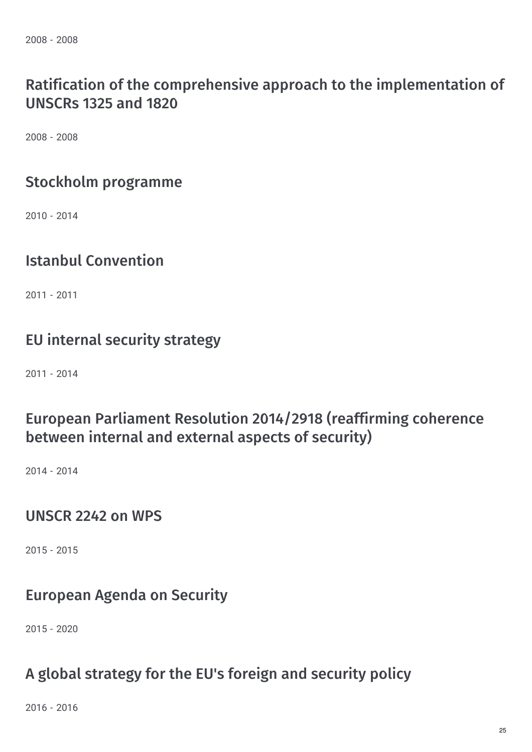2008 - 2008

## Ratification of the comprehensive approach to the implementation of UNSCRs 1325 and 1820

2008 - 2008

### Stockholm programme

2010 - 2014

## Istanbul Convention

2011 - 2011

## EU internal security strategy

2011 - 2014

## European Parliament Resolution 2014/2918 (reaffirming coherence between internal and external aspects of security)

2014 - 2014

#### UNSCR 2242 on WPS

2015 - 2015

## European Agenda on Security

2015 - 2020

## A global strategy for the EU's foreign and security policy

2016 - 2016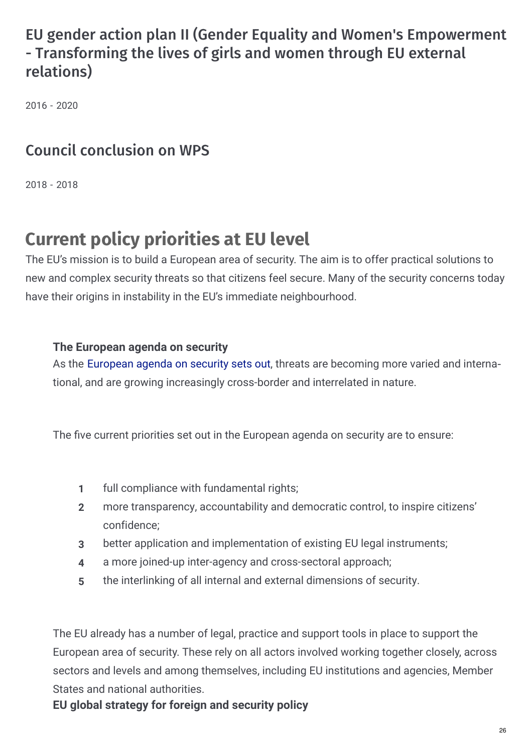## EU gender action plan II (Gender Equality and Women's Empowerment - Transforming the lives of girls and women through EU external relations)

2016 - 2020

## Council conclusion on WPS

2018 - 2018

## **Current policy priorities at EU level**

The EU's mission is to build a European area of security. The aim is to offer practical solutions to new and complex security threats so that citizens feel secure. Many of the security concerns today have their origins in instability in the EU's immediate neighbourhood.

#### **The European agenda on security**

As the [European](https://ec.europa.eu/home-affairs/what-we-do/policies/security-union-strategy_en) agenda on security sets out, threats are becoming more varied and interna‐ tional, and are growing increasingly cross-border and interrelated in nature.

The five current priorities set out in the European agenda on security are to ensure:

- **1** full compliance with fundamental rights;
- more transparency, accountability and democratic control, to inspire citizens' confidence; **2**
- **3** better application and implementation of existing EU legal instruments;
- **4** a more joined-up inter-agency and cross-sectoral approach;
- **5** the interlinking of all internal and external dimensions of security.

The EU already has a number of legal, practice and support tools in place to support the European area of security. These rely on all actors involved working together closely, across sectors and levels and among themselves, including EU institutions and agencies, Member States and national authorities.

**EU global strategy for foreign and security policy**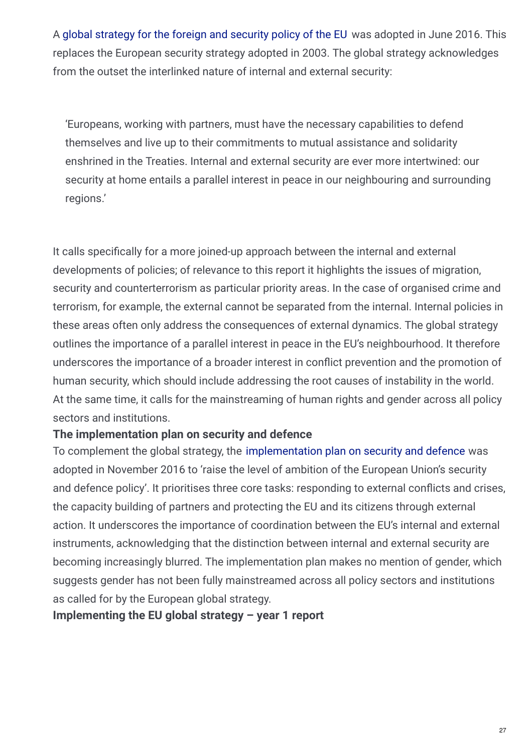A global [strategy](https://eeas.europa.eu/topics/eu-global-strategy/17304/global-strategy-european-unions-foreign-and-security-policy_en) for the foreign and security policy of the EU was adopted in June 2016. This replaces the European security strategy adopted in 2003. The global strategy acknowledges from the outset the interlinked nature of internal and external security:

'Europeans, working with partners, must have the necessary capabilities to defend themselves and live up to their commitments to mutual assistance and solidarity enshrined in the Treaties. Internal and external security are ever more intertwined: our security at home entails a parallel interest in peace in our neighbouring and surrounding regions.'

It calls specifically for a more joined-up approach between the internal and external developments of policies; of relevance to this report it highlights the issues of migration, security and counterterrorism as particular priority areas. In the case of organised crime and terrorism, for example, the external cannot be separated from the internal. Internal policies in these areas often only address the consequences of external dynamics. The global strategy outlines the importance of a parallel interest in peace in the EU's neighbourhood. It therefore underscores the importance of a broader interest in conflict prevention and the promotion of human security, which should include addressing the root causes of instability in the world. At the same time, it calls for the mainstreaming of human rights and gender across all policy sectors and institutions.

#### **The implementation plan on security and defence**

To complement the global strategy, the [implementation](https://eeas.europa.eu/sites/eeas/files/implementation_plan_on_security_and_defence_02-03-2018.pdf) plan on security and defence was adopted in November 2016 to 'raise the level of ambition of the European Union's security and defence policy'. It prioritises three core tasks: responding to external conflicts and crises, the capacity building of partners and protecting the EU and its citizens through external action. It underscores the importance of coordination between the EU's internal and external instruments, acknowledging that the distinction between internal and external security are becoming increasingly blurred. The implementation plan makes no mention of gender, which suggests gender has not been fully mainstreamed across all policy sectors and institutions as called for by the European global strategy.

**Implementing the EU global strategy – year 1 report**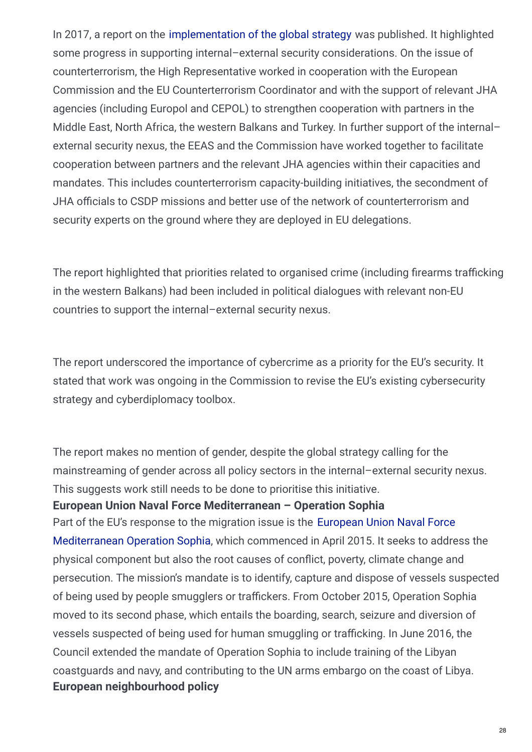In 2017, a report on the [implementation](https://www.unodc.org/documents/brussels/ABOUT EU /2017.06_EU_global_strategy_year1.pdf) of the global strategy was published. It highlighted some progress in supporting internal–external security considerations. On the issue of counterterrorism, the High Representative worked in cooperation with the European Commission and the EU Counterterrorism Coordinator and with the support of relevant JHA agencies (including Europol and CEPOL) to strengthen cooperation with partners in the Middle East, North Africa, the western Balkans and Turkey. In further support of the internal– external security nexus, the EEAS and the Commission have worked together to facilitate cooperation between partners and the relevant JHA agencies within their capacities and mandates. This includes counterterrorism capacity-building initiatives, the secondment of JHA officials to CSDP missions and better use of the network of counterterrorism and security experts on the ground where they are deployed in EU delegations.

The report highlighted that priorities related to organised crime (including firearms trafficking in the western Balkans) had been included in political dialogues with relevant non-EU countries to support the internal–external security nexus.

The report underscored the importance of cybercrime as a priority for the EU's security. It stated that work was ongoing in the Commission to revise the EU's existing cybersecurity strategy and cyberdiplomacy toolbox.

The report makes no mention of gender, despite the global strategy calling for the mainstreaming of gender across all policy sectors in the internal–external security nexus. This suggests work still needs to be done to prioritise this initiative.

#### **European Union Naval Force Mediterranean – Operation Sophia**

Part of the EU's response to the migration issue is the European Union Naval Force [Mediterranean](https://www.operationsophia.eu/) Operation Sophia, which commenced in April 2015. It seeks to address the physical component but also the root causes of conflict, poverty, climate change and persecution. The mission's mandate is to identify, capture and dispose of vessels suspected of being used by people smugglers or traffickers. From October 2015, Operation Sophia moved to its second phase, which entails the boarding, search, seizure and diversion of vessels suspected of being used for human smuggling or trafficking. In June 2016, the Council extended the mandate of Operation Sophia to include training of the Libyan coastguards and navy, and contributing to the UN arms embargo on the coast of Libya. **European neighbourhood policy**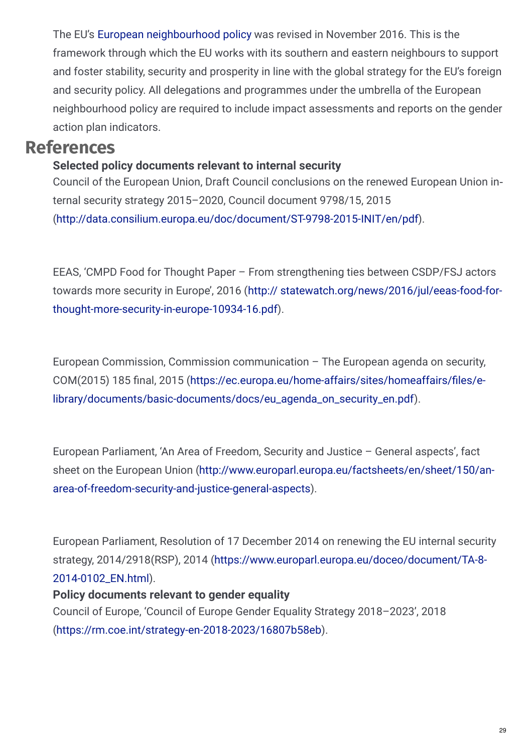The EU's European [neighbourhood](https://eeas.europa.eu/diplomatic-network/european-neighbourhood-policy-enp_en) policy was revised in November 2016. This is the framework through which the EU works with its southern and eastern neighbours to support and foster stability, security and prosperity in line with the global strategy for the EU's foreign and security policy. All delegations and programmes under the umbrella of the European neighbourhood policy are required to include impact assessments and reports on the gender action plan indicators.

### **References**

#### **Selected policy documents relevant to internal security**

Council of the European Union, Draft Council conclusions on the renewed European Union in‐ ternal security strategy 2015–2020, Council document 9798/15, 2015 [\(http://data.consilium.europa.eu/doc/document/ST-9798-2015-INIT/en/pdf](http://data.consilium.europa.eu/doc/document/ST-9798-2015-INIT/en/pdf)).

EEAS, 'CMPD Food for Thought Paper – From strengthening ties between CSDP/FSJ actors towards more security in Europe', 2016 (http:// [statewatch.org/news/2016/jul/eeas-food-for](http://statewatch.org/news/2016/jul/eeas-food-for-thought-more-security-in-europe-10934-16.pdf)thought-more-security-in-europe-10934-16.pdf).

European Commission, Commission communication – The European agenda on security, COM(2015) 185 final, 2015 (https://ec.europa.eu/home-affairs/sites/homeaffairs/files/e[library/documents/basic-documents/docs/eu\\_agenda\\_on\\_security\\_en.pdf\).](https://ec.europa.eu/home-affairs/sites/homeaffairs/files/e-library/documents/basic-documents/docs/eu_agenda_on_security_en.pdf)

European Parliament, 'An Area of Freedom, Security and Justice – General aspects', fact sheet on the European Union [\(http://www.europarl.europa.eu/factsheets/en/sheet/150/an](http://www.europarl.europa.eu/factsheets/en/sheet/150/an-area-of-freedom-se�curity-and-justice-general-aspects)area-of-freedom-security-and-justice-general-aspects).

European Parliament, Resolution of 17 December 2014 on renewing the EU internal security strategy, 2014/2918(RSP), 2014 [\(https://www.europarl.europa.eu/doceo/document/TA-8-](https://www.europarl.europa.eu/doceo/document/TA-8-2014-0102_EN.html) 2014-0102\_EN.html).

#### **Policy documents relevant to gender equality**

Council of Europe, 'Council of Europe Gender Equality Strategy 2018–2023', 2018 [\(https://rm.coe.int/strategy-en-2018-2023/16807b58eb](https://rm.coe.int/strategy-en-2018-2023/16807b58eb)).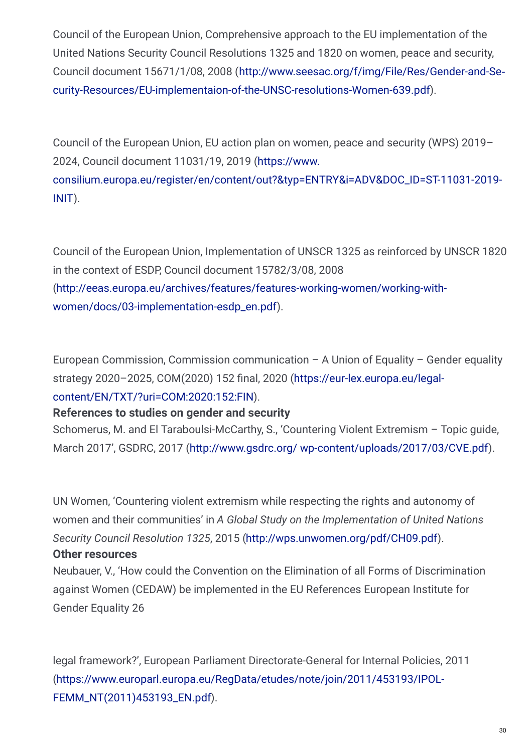Council of the European Union, Comprehensive approach to the EU implementation of the United Nations Security Council Resolutions 1325 and 1820 on women, peace and security, Council document 15671/1/08, 2008 (http://www.seesac.org/f/img/File/Res/Gender-and-Se‐ [curity-Resources/EU-implementaion-of-the-UNSC-resolutions-Women-639.pdf\).](http://www.seesac.org/f/img/File/Res/Gender-and-Se�curity-Resources/EU-implementaion-of-the-UN�SC-resolutions-Women-639.pdf)

Council of the European Union, EU action plan on women, peace and security (WPS) 2019– 2024, Council document 11031/19, 2019 (https://www.

[consilium.europa.eu/register/en/content/out?&typ=ENTRY&i=ADV&DOC\\_ID=ST-11031-2019-](https://www.consilium.europa.eu/register/en/content/out?&�typ=ENTRY&i=ADV&DOC_ID=ST-11031-2019-INIT) INIT).

Council of the European Union, Implementation of UNSCR 1325 as reinforced by UNSCR 1820 in the context of ESDP, Council document 15782/3/08, 2008 [\(http://eeas.europa.eu/archives/features/features-working-women/working-with](http://eeas.europa.eu/archives/features/features-working-women/working-with-women/docs/03-implementation-esdp_en.pdf)women/docs/03-implementation-esdp\_en.pdf).

European Commission, Commission communication – A Union of Equality – Gender equality strategy 2020-2025, COM(2020) 152 final, 2020 (https://eur-lex.europa.eu/legal[content/EN/TXT/?uri=COM:2020:152:FIN\).](https://eur-lex.europa.eu/legal-content/EN/TXT/?uri=COM:2020:152:FIN)

#### **References to studies on gender and security**

Schomerus, M. and El Taraboulsi-McCarthy, S., 'Countering Violent Extremism – Topic guide, March 2017', GSDRC, 2017 (http://www.gsdrc.org/ [wp-content/uploads/2017/03/CVE.pdf](http://www.gsdrc.org/wp-content/uploads/2017/03/CVE.pdf)).

UN Women, 'Countering violent extremism while respecting the rights and autonomy of women and their communities' in *A Global Study on the Implementation of United Nations Security Council Resolution 1325*, 2015 [\(http://wps.unwomen.org/pdf/CH09.pdf](http://wps.unwomen.org/pdf/CH09.pdf)).

#### **Other resources**

Neubauer, V., 'How could the Convention on the Elimination of all Forms of Discrimination against Women (CEDAW) be implemented in the EU References European Institute for Gender Equality 26

legal framework?', European Parliament Directorate-General for Internal Policies, 2011 [\(https://www.europarl.europa.eu/RegData/etudes/note/join/2011/453193/IPOL-](https://www.europarl.europa.eu/RegData/etudes/note/join/2011/453193/IPOL-FEMM_NT(2011)453193_EN.pdf)FEMM\_NT(2011)453193\_EN.pdf).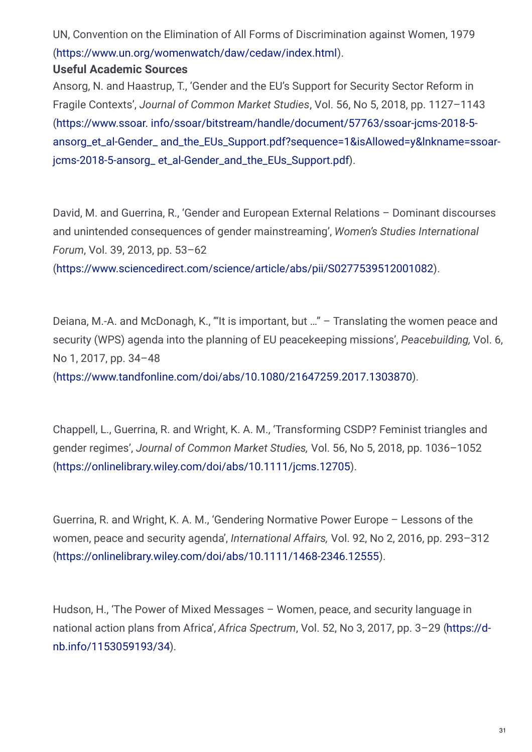UN, Convention on the Elimination of All Forms of Discrimination against Women, 1979 [\(https://www.un.org/womenwatch/daw/cedaw/index.html](https://www.un.org/womenwatch/daw/cedaw/index.html)).

#### **Useful Academic Sources**

Ansorg, N. and Haastrup, T., 'Gender and the EU's Support for Security Sector Reform in Fragile Contexts', *Journal of Common Market Studies*, Vol. 56, No 5, 2018, pp. 1127–1143 (https://www.ssoar. info/ssoar/bitstream/handle/document/57763/ssoar-jcms-2018-5 ansorg\_et\_al-Gender\_ [and\\_the\\_EUs\\_Support.pdf?sequence=1&isAllowed=y&lnkname=ssoar](https://www.ssoar.info/ssoar/bitstream/handle/document/57763/ssoar-jcms-2018-5-ansorg_et_al-Gender_and_the_EUs_Support.pdf?sequence=1&isAllowed=y&lnkname=ssoar-jcms-2018-5-ansorg_et_al-Gender_and_the_EUs_Support.pdf)jcms-2018-5-ansorg\_ et\_al-Gender\_and\_the\_EUs\_Support.pdf).

David, M. and Guerrina, R., 'Gender and European External Relations – Dominant discourses and unintended consequences of gender mainstreaming', *Women's Studies International Forum*, Vol. 39, 2013, pp. 53–62

[\(https://www.sciencedirect.com/science/article/abs/pii/S0277539512001082](https://www.sciencedirect.com/science/article/abs/pii/S0277539512001082)).

Deiana, M.-A. and McDonagh, K., '"It is important, but …" – Translating the women peace and security (WPS) agenda into the planning of EU peacekeeping missions', *Peacebuilding,* Vol. 6, No 1, 2017, pp. 34–48

[\(https://www.tandfonline.com/doi/abs/10.1080/21647259.2017.1303870](https://www.tandfonline.com/doi/abs/10.1080/21647259.2017.1303870)).

Chappell, L., Guerrina, R. and Wright, K. A. M., 'Transforming CSDP? Feminist triangles and gender regimes', *Journal of Common Market Studies,* Vol. 56, No 5, 2018, pp. 1036–1052 [\(https://onlinelibrary.wiley.com/doi/abs/10.1111/jcms.12705](https://onlinelibrary.wiley.com/doi/abs/10.1111/jcms.12705)).

Guerrina, R. and Wright, K. A. M., 'Gendering Normative Power Europe – Lessons of the women, peace and security agenda', *International Affairs,* Vol. 92, No 2, 2016, pp. 293–312 [\(https://onlinelibrary.wiley.com/doi/abs/10.1111/1468-2346.12555](https://onlinelibrary.wiley.com/doi/abs/10.1111/1468-2346.12555)).

Hudson, H., 'The Power of Mixed Messages – Women, peace, and security language in national action plans from Africa', *Africa Spectrum*, Vol. 52, No 3, 2017, pp. 3–29 (https://d[nb.info/1153059193/34\).](https://d-nb.info/1153059193/34)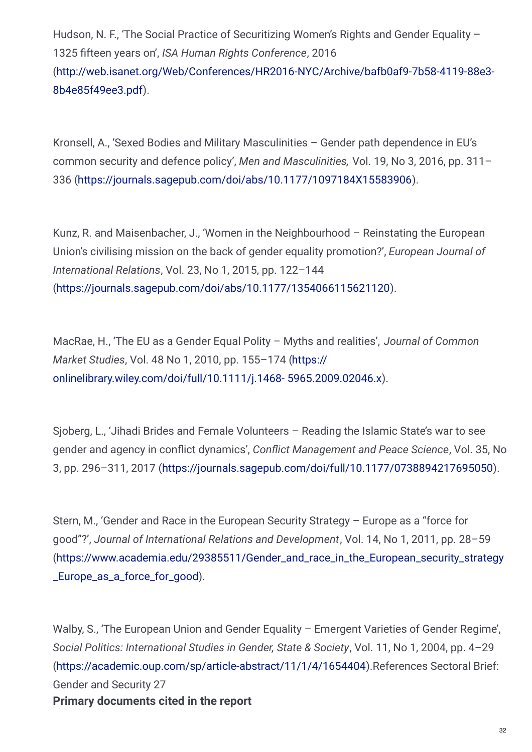Hudson, N. F., 'The Social Practice of Securitizing Women's Rights and Gender Equality -1325 4fteen years on', *ISA Human Rights Conference*, 2016 [\(http://web.isanet.org/Web/Conferences/HR2016-NYC/Archive/bafb0af9-7b58-4119-88e3-](http://web.isanet.org/Web/Conferences/HR2016-NYC/Archive/bafb0af9-7b58-4119-88e3-8b4e85f49ee3.pdf) 8b4e85f49ee3.pdf).

Kronsell, A., 'Sexed Bodies and Military Masculinities – Gender path dependence in EU's common security and defence policy', *Men and Masculinities,* Vol. 19, No 3, 2016, pp. 311– 336 [\(https://journals.sagepub.com/doi/abs/10.1177/1097184X15583906](https://journals.sagepub.com/doi/abs/10.1177/1097184X15583906)).

Kunz, R. and Maisenbacher, J., 'Women in the Neighbourhood – Reinstating the European Union's civilising mission on the back of gender equality promotion?', *European Journal of International Relations*, Vol. 23, No 1, 2015, pp. 122–144 [\(https://journals.sagepub.com/doi/abs/10.1177/1354066115621120](https://journals.sagepub.com/doi/abs/10.1177/1354066115621120)).

MacRae, H., 'The EU as a Gender Equal Polity – Myths and realities', *Journal of Common Market Studies*, Vol. 48 No 1, 2010, pp. 155–174 (https:// [onlinelibrary.wiley.com/doi/full/10.1111/j.1468-](https://onlinelibrary.wiley.com/doi/full/10.1111/j.1468-5965.2009.02046.x) 5965.2009.02046.x).

Sjoberg, L., 'Jihadi Brides and Female Volunteers – Reading the Islamic State's war to see gender and agency in conflict dynamics', *Conflict Management and Peace Science*, Vol. 35, No 3, pp. 296–311, 2017 [\(https://journals.sagepub.com/doi/full/10.1177/0738894217695050](https://journals.sagepub.com/doi/full/10.1177/0738894217695050)).

Stern, M., 'Gender and Race in the European Security Strategy – Europe as a "force for good"?', *Journal of International Relations and Development*, Vol. 14, No 1, 2011, pp. 28–59 [\(https://www.academia.edu/29385511/Gender\\_and\\_race\\_in\\_the\\_European\\_security\\_strategy](https://www.academia.edu/29385511/Gender_and_race_in_the_European_security_strategy_Europe_as_a_force_for_good) \_Europe\_as\_a\_force\_for\_good).

Walby, S., 'The European Union and Gender Equality – Emergent Varieties of Gender Regime', *Social Politics: International Studies in Gender, State & Society*, Vol. 11, No 1, 2004, pp. 4–29 [\(https://academic.oup.com/sp/article-abstract/11/1/4/1654404](https://academic.oup.com/sp/article-abstract/11/1/4/1654404)).References Sectoral Brief: Gender and Security 27 **Primary documents cited in the report**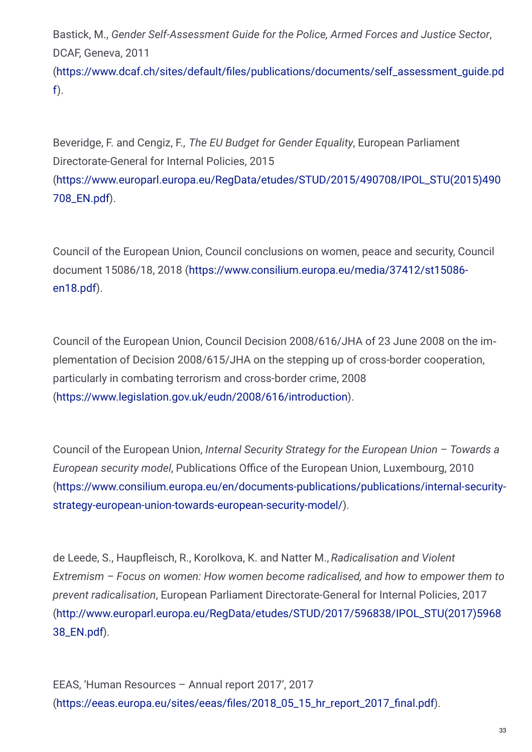Bastick, M., *Gender Self-Assessment Guide for the Police, Armed Forces and Justice Sector*, DCAF, Geneva, 2011

[\(https://www.dcaf.ch/sites/default/4les/publications/documents/self\\_assessment\\_guide.pd](https://www.dcaf.ch/sites/default/files/publications/documents/self_assessment_guide.pdf) f).

Beveridge, F. and Cengiz, F., *The EU Budget for Gender Equality*, European Parliament Directorate-General for Internal Policies, 2015 [\(https://www.europarl.europa.eu/RegData/etudes/STUD/2015/490708/IPOL\\_STU\(2015\)490](https://www.europarl.europa.eu/RegData/etudes/STUD/2015/490708/IPOL_STU(2015)490708_EN.pdf) 708\_EN.pdf).

Council of the European Union, Council conclusions on women, peace and security, Council document 15086/18, 2018 [\(https://www.consilium.europa.eu/media/37412/st15086](https://www.consilium.europa.eu/media/37412/st15086-en18.pdf) en18.pdf).

Council of the European Union, Council Decision 2008/616/JHA of 23 June 2008 on the im‐ plementation of Decision 2008/615/JHA on the stepping up of cross-border cooperation, particularly in combating terrorism and cross-border crime, 2008 [\(https://www.legislation.gov.uk/eudn/2008/616/introduction](https://www.legislation.gov.uk/eudn/2008/616/introduction)).

Council of the European Union, *Internal Security Strategy for the European Union – Towards a European security model, Publications Office of the European Union, Luxembourg, 2010* [\(https://www.consilium.europa.eu/en/documents-publications/publications/internal-security](https://www.consilium.europa.eu/en/documents-publications/publications/internal-security-strategy-european-union-towards-european-security-model/)strategy-european-union-towards-european-security-model/).

de Leede, S., Haupfleisch, R., Korolkova, K. and Natter M., *Radicalisation and Violent Extremism – Focus on women: How women become radicalised, and how to empower them to prevent radicalisation*, European Parliament Directorate-General for Internal Policies, 2017 [\(http://www.europarl.europa.eu/RegData/etudes/STUD/2017/596838/IPOL\\_STU\(2017\)5968](http://www.europarl.europa.eu/RegData/etudes/STUD/2017/596838/IPOL_STU(2017)596838_EN.pdf) 38\_EN.pdf).

EEAS, 'Human Resources – Annual report 2017', 2017 [\(https://eeas.europa.eu/sites/eeas/4les/2018\\_05\\_15\\_hr\\_report\\_2017\\_4nal.pdf](https://eeas.europa.eu/sites/eeas/files/2018_05_15_hr_report_2017_final.pdf)).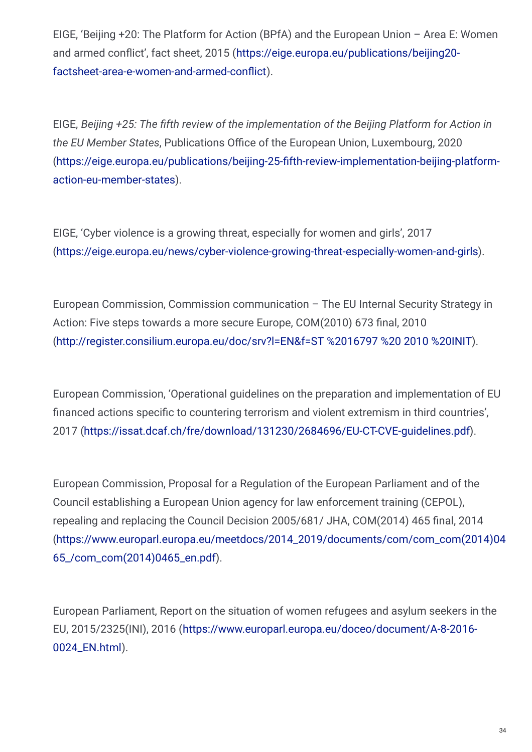EIGE, 'Beijing +20: The Platform for Action (BPfA) and the European Union – Area E: Women and armed conflict', fact sheet, 2015 [\(https://eige.europa.eu/publications/beijing20](https://eige.europa.eu/publications/beijing20-factsheet-area-e-women-and-armed-conflict) factsheet-area-e-women-and-armed-conflict).

EIGE, *Beijing +25: The ;fth review of the implementation of the Beijing Platform for Action in the EU Member States, Publications Office of the European Union, Luxembourg, 2020* [\(https://eige.europa.eu/publications/beijing-25-4fth-review-implementation-beijing-platform](https://eige.europa.eu/publications/beijing-25-fifth-review-implementation-beijing-platform-action-eu-member-states)action-eu-member-states).

EIGE, 'Cyber violence is a growing threat, especially for women and girls', 2017 [\(https://eige.europa.eu/news/cyber-violence-growing-threat-especially-women-and-girls](https://eige.europa.eu/news/cyber-violence-growing-threat-especially-women-and-girls)).

European Commission, Commission communication – The EU Internal Security Strategy in Action: Five steps towards a more secure Europe, COM(2010) 673 final, 2010 [\(http://register.consilium.europa.eu/doc/srv?l=EN&f=ST](http://register.consilium.europa.eu/doc/srv?l=EN&f=ST 16797 2010 INIT) %2016797 %20 2010 %20INIT).

European Commission, 'Operational guidelines on the preparation and implementation of EU financed actions specific to countering terrorism and violent extremism in third countries', 2017 [\(https://issat.dcaf.ch/fre/download/131230/2684696/EU-CT-CVE-guidelines.pdf](https://issat.dcaf.ch/fre/download/131230/2684696/EU-CT-CVE-guidelines.pdf)).

European Commission, Proposal for a Regulation of the European Parliament and of the Council establishing a European Union agency for law enforcement training (CEPOL), repealing and replacing the Council Decision 2005/681/ JHA, COM(2014) 465 final, 2014 [\(https://www.europarl.europa.eu/meetdocs/2014\\_2019/documents/com/com\\_com\(2014\)04](https://www.europarl.europa.eu/meetdocs/2014_2019/documents/com/com_com(2014)0465_/com_com(2014)0465_en.pdf) 65\_/com\_com(2014)0465\_en.pdf).

European Parliament, Report on the situation of women refugees and asylum seekers in the EU, 2015/2325(INI), 2016 [\(https://www.europarl.europa.eu/doceo/document/A-8-2016-](https://www.europarl.europa.eu/doceo/document/A-8-2016-0024_EN.html) 0024\_EN.html).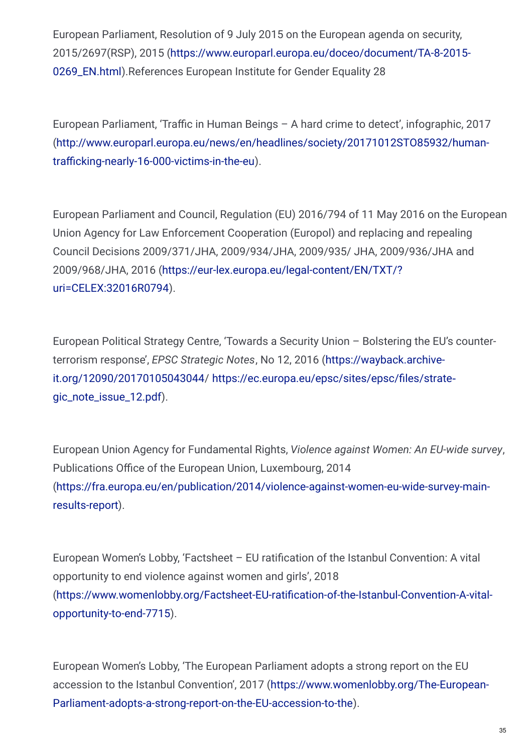European Parliament, Resolution of 9 July 2015 on the European agenda on security, 2015/2697(RSP), 2015 [\(https://www.europarl.europa.eu/doceo/document/TA-8-2015-](https://www.europarl.europa.eu/doceo/document/TA-8-2015-0269_EN.html) 0269\_EN.html).References European Institute for Gender Equality 28

European Parliament, 'Traffic in Human Beings - A hard crime to detect', infographic, 2017 [\(http://www.europarl.europa.eu/news/en/headlines/society/20171012STO85932/human](http://www.europarl.europa.eu/news/en/headlines/society/20171012STO85932/human-trafficking-nearly-16-000-victims-in-the-eu)trafficking-nearly-16-000-victims-in-the-eu).

European Parliament and Council, Regulation (EU) 2016/794 of 11 May 2016 on the European Union Agency for Law Enforcement Cooperation (Europol) and replacing and repealing Council Decisions 2009/371/JHA, 2009/934/JHA, 2009/935/ JHA, 2009/936/JHA and 2009/968/JHA, 2016 [\(https://eur-lex.europa.eu/legal-content/EN/TXT/?](https://eur-lex.europa.eu/legal-content/EN/TXT/?uri=CELEX:32016R0794) uri=CELEX:32016R0794).

European Political Strategy Centre, 'Towards a Security Union – Bolstering the EU's counterterrorism response', *EPSC Strategic Notes*, No 12, 2016 (https://wayback.archiveit.org/12090/20170105043044/ https://ec.europa.eu/epsc/sites/epsc/files/strategic\_note\_issue\_12.pdf).

European Union Agency for Fundamental Rights, *Violence against Women: An EU-wide survey*, Publications Office of the European Union, Luxembourg, 2014 [\(https://fra.europa.eu/en/publication/2014/violence-against-women-eu-wide-survey-main](https://fra.europa.eu/en/publication/2014/violence-against-women-eu-wide-survey-main-results-report)results-report).

European Women's Lobby, 'Factsheet  $-$  EU ratification of the Istanbul Convention: A vital opportunity to end violence against women and girls', 2018 (https://www.womenlobby.org/Factsheet-EU-ratification-of-the-Istanbul-Convention-A-vitalopportunity-to-end-7715).

European Women's Lobby, 'The European Parliament adopts a strong report on the EU accession to the Istanbul Convention', 2017 (https://www.womenlobby.org/The-European-[Parliament-adopts-a-strong-report-on-the-EU-accession-to-the\).](https://www.womenlobby.org/The-European-Parliament-adopts-a-strong-report-on-the-EU-accession-to-the)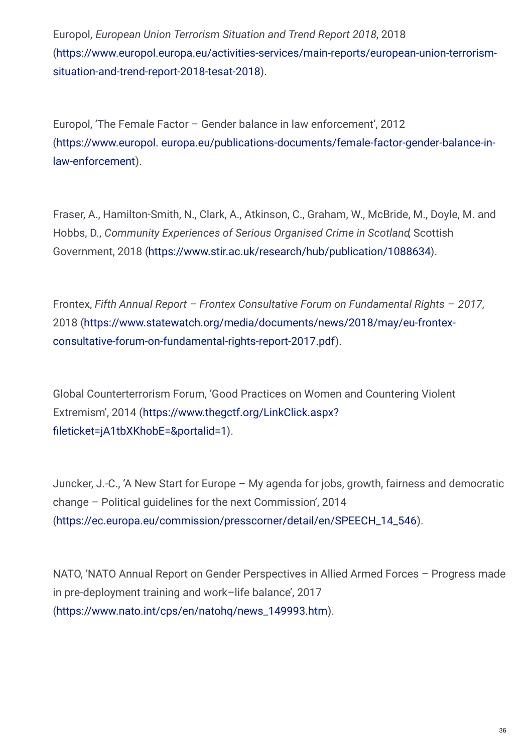Europol, *European Union Terrorism Situation and Trend Report 2018*, 2018 [\(https://www.europol.europa.eu/activities-services/main-reports/european-union-terrorism](https://www.womenlobby.org/The-European-Parliament-adopts-a-strong-report-on-the-EU-accession-to-the)situation-and-trend-report-2018-tesat-2018).

Europol, 'The Female Factor – Gender balance in law enforcement', 2012 (https://www.europol. [europa.eu/publications-documents/female-factor-gender-balance-in](https://www.europol.europa.eu/publications-documents/female-factor-gender-balance-in-law-enforcement)law-enforcement).

Fraser, A., Hamilton-Smith, N., Clark, A., Atkinson, C., Graham, W., McBride, M., Doyle, M. and Hobbs, D., *Community Experiences of Serious Organised Crime in Scotland*, Scottish Government, 2018 [\(https://www.stir.ac.uk/research/hub/publication/1088634](https://www.stir.ac.uk/research/hub/publication/1088634)).

Frontex, *Fifth Annual Report – Frontex Consultative Forum on Fundamental Rights* – *2017*, 2018 [\(https://www.statewatch.org/media/documents/news/2018/may/eu-frontex](https://www.statewatch.org/media/documents/news/2018/may/eu-frontex-consultative-forum-on-fundamental-rights-report-2017.pdf)consultative-forum-on-fundamental-rights-report-2017.pdf).

Global Counterterrorism Forum, 'Good Practices on Women and Countering Violent Extremism', 2014 [\(https://www.thegctf.org/LinkClick.aspx?](https://www.thegctf.org/LinkClick.aspx?fileticket=jA1tbXKhobE=&portalid=1) fileticket=jA1tbXKhobE=&portalid=1).

Juncker, J.-C., 'A New Start for Europe – My agenda for jobs, growth, fairness and democratic change – Political guidelines for the next Commission', 2014 [\(https://ec.europa.eu/commission/presscorner/detail/en/SPEECH\\_14\\_546](https://ec.europa.eu/commission/presscorner/detail/en/SPEECH_14_546)).

NATO, 'NATO Annual Report on Gender Perspectives in Allied Armed Forces – Progress made in pre-deployment training and work–life balance', 2017 [\(https://www.nato.int/cps/en/natohq/news\\_149993.htm](https://www.nato.int/cps/en/natohq/news_149993.htm)).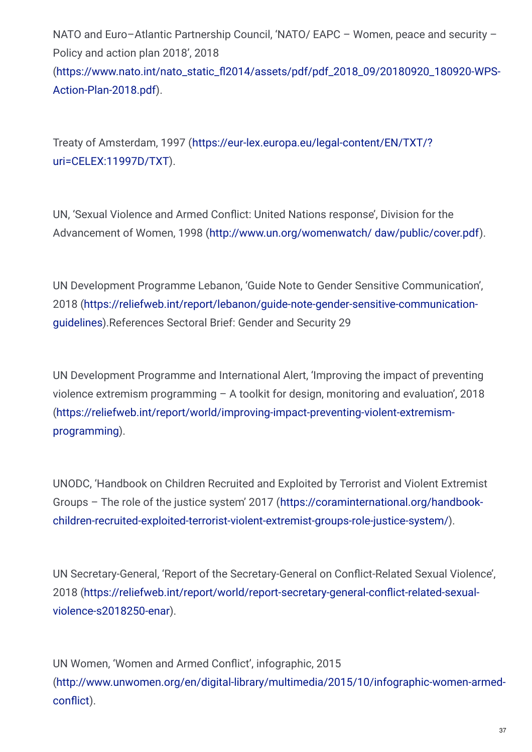NATO and Euro–Atlantic Partnership Council, 'NATO/ EAPC – Women, peace and security – Policy and action plan 2018', 2018 [\(https://www.nato.int/nato\\_static\\_02014/assets/pdf/pdf\\_2018\\_09/20180920\\_180920-WPS-](https://www.nato.int/nato_static_fl2014/assets/pdf/pdf_2018_09/20180920_180920-WPS-Action-Plan-2018.pdf)Action-Plan-2018.pdf).

Treaty of Amsterdam, 1997 [\(https://eur-lex.europa.eu/legal-content/EN/TXT/?](https://eur-lex.europa.eu/legal-content/EN/TXT/?uri=CELEX:11997D/TXT) uri=CELEX:11997D/TXT).

UN, 'Sexual Violence and Armed Conflict: United Nations response', Division for the Advancement of Women, 1998 [\(http://www.un.org/womenwatch/](http://www.un.org/womenwatch/daw/public/cover.pdf) daw/public/cover.pdf).

UN Development Programme Lebanon, 'Guide Note to Gender Sensitive Communication', 2018 [\(https://reliefweb.int/report/lebanon/guide-note-gender-sensitive-communication](https://reliefweb.int/report/lebanon/guide-note-gender-sensitive-communication-guidelines)guidelines).References Sectoral Brief: Gender and Security 29

UN Development Programme and International Alert, 'Improving the impact of preventing violence extremism programming – A toolkit for design, monitoring and evaluation', 2018 [\(https://reliefweb.int/report/world/improving-impact-preventing-violent-extremism](https://reliefweb.int/report/world/improving-impact-preventing-violent-extremism-programming)programming).

UNODC, 'Handbook on Children Recruited and Exploited by Terrorist and Violent Extremist Groups – The role of the justice system' 2017 (https://coraminternational.org/handbook[children-recruited-exploited-terrorist-violent-extremist-groups-role-justice-system/\).](https://coraminternational.org/handbook-children-recruited-exploited-terrorist-violent-extremist-groups-role-justice-system/)

UN Secretary-General, 'Report of the Secretary-General on Conflict-Related Sexual Violence', 2018 (https://reliefweb.int/report/world/report-secretary-general-conflict-related-sexualviolence-s2018250-enar).

UN Women, 'Women and Armed Conflict', infographic, 2015 [\(http://www.unwomen.org/en/digital-library/multimedia/2015/10/infographic-women-armed](http://www.unwomen.org/en/digital-library/multimedia/2015/10/infograph�ic-women-armed-conflict)conflict).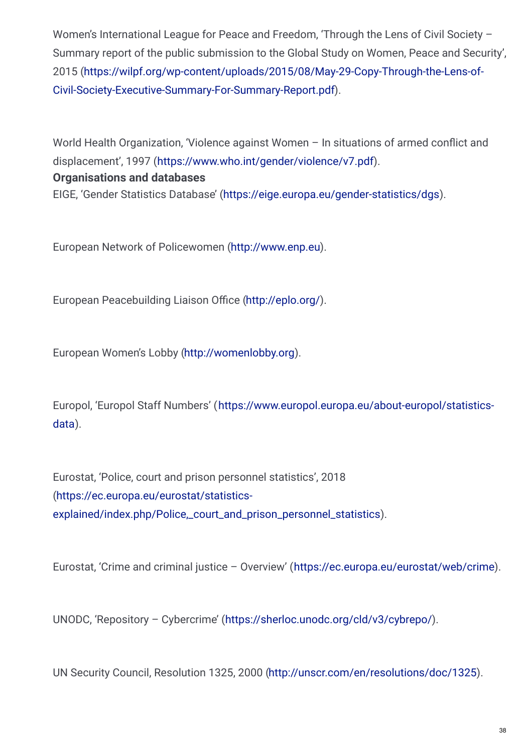Women's International League for Peace and Freedom. 'Through the Lens of Civil Society -Summary report of the public submission to the Global Study on Women, Peace and Security', 2015 [\(https://wilpf.org/wp-content/uploads/2015/08/May-29-Copy-Through-the-Lens-of-](https://wilpf.org/wp-content/uploads/2015/08/May-29-Copy-Through-the-Lens-of-Civil-Society-Executive-Summary-For-Summary-Report.pdf)Civil-Society-Executive-Summary-For-Summary-Report.pdf).

World Health Organization, 'Violence against Women - In situations of armed conflict and displacement', 1997 [\(https://www.who.int/gender/violence/v7.pdf](https://www.who.int/gender/violence/v7.pdf)).

#### **Organisations and databases**

EIGE, 'Gender Statistics Database' [\(https://eige.europa.eu/gender-statistics/dgs](https://eige.europa.eu/gender-statistics/dgs)).

European Network of Policewomen [\(http://www.enp.eu\)](http://www.enp.eu).

European Peacebuilding Liaison Office [\(http://eplo.org/](http://eplo.org/)).

European Women's Lobby [\(http://womenlobby.org](http://womenlobby.org)).

Europol, 'Europol Staff Numbers' [\(https://www.europol.europa.eu/about-europol/statistics](https://www.europol.europa.eu/about-europol/statistics-data)data).

Eurostat, 'Police, court and prison personnel statistics', 2018 (https://ec.europa.eu/eurostat/statisticsexplained/index.php/Police, court and prison personnel statistics).

Eurostat, 'Crime and criminal justice – Overview' [\(https://ec.europa.eu/eurostat/web/crime](https://ec.europa.eu/eurostat/web/crime)).

UNODC, 'Repository – Cybercrime' [\(https://sherloc.unodc.org/cld/v3/cybrepo/](https://sherloc.unodc.org/cld/v3/cybrepo/)).

UN Security Council, Resolution 1325, 2000 [\(http://unscr.com/en/resolutions/doc/1325](http://unscr.com/en/resolutions/doc/1325)).